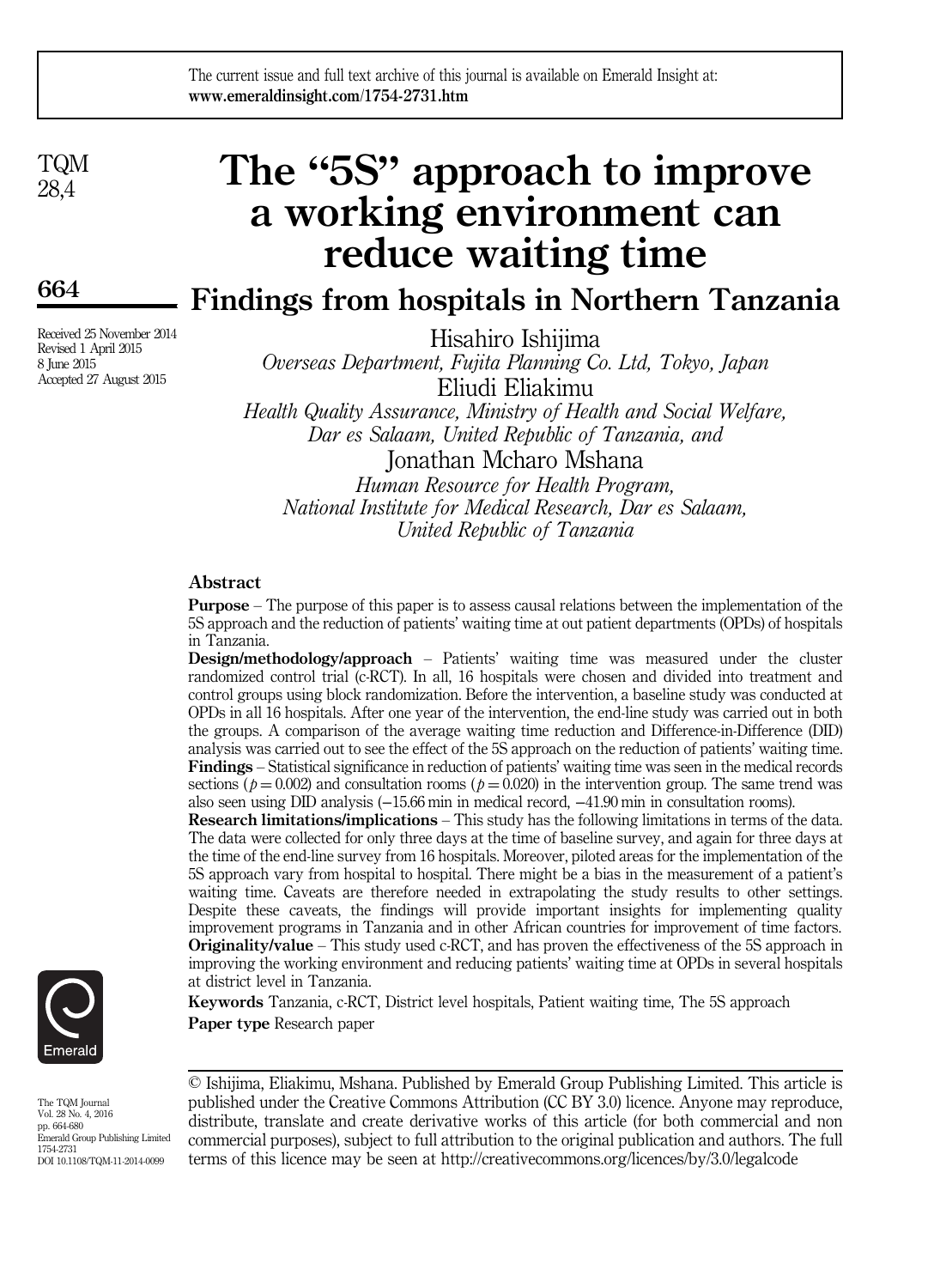TQM 28,4

664

Received 25 November 2014 Revised 1 April 2015 8 June 2015 Accepted 27 August 2015

# The "5S" approach to improve a working environment can reduce waiting time

## Findings from hospitals in Northern Tanzania

Hisahiro Ishijima Overseas Department, Fujita Planning Co. Ltd, Tokyo, Japan Eliudi Eliakimu

Health Quality Assurance, Ministry of Health and Social Welfare, Dar es Salaam, United Republic of Tanzania, and

Jonathan Mcharo Mshana

Human Resource for Health Program, National Institute for Medical Research, Dar es Salaam, United Republic of Tanzania

#### Abstract

Purpose – The purpose of this paper is to assess causal relations between the implementation of the 5S approach and the reduction of patients' waiting time at out patient departments (OPDs) of hospitals in Tanzania.

Design/methodology/approach – Patients' waiting time was measured under the cluster randomized control trial (c-RCT). In all, 16 hospitals were chosen and divided into treatment and control groups using block randomization. Before the intervention, a baseline study was conducted at OPDs in all 16 hospitals. After one year of the intervention, the end-line study was carried out in both the groups. A comparison of the average waiting time reduction and Difference-in-Difference (DID) analysis was carried out to see the effect of the 5S approach on the reduction of patients' waiting time. Findings – Statistical significance in reduction of patients' waiting time was seen in the medical records sections ( $p = 0.002$ ) and consultation rooms ( $p = 0.020$ ) in the intervention group. The same trend was also seen using DID analysis (−15.66 min in medical record, −41.90 min in consultation rooms).

Research limitations/implications – This study has the following limitations in terms of the data. The data were collected for only three days at the time of baseline survey, and again for three days at the time of the end-line survey from 16 hospitals. Moreover, piloted areas for the implementation of the 5S approach vary from hospital to hospital. There might be a bias in the measurement of a patient's waiting time. Caveats are therefore needed in extrapolating the study results to other settings. Despite these caveats, the findings will provide important insights for implementing quality improvement programs in Tanzania and in other African countries for improvement of time factors. Originality/value – This study used c-RCT, and has proven the effectiveness of the 5S approach in improving the working environment and reducing patients' waiting time at OPDs in several hospitals at district level in Tanzania.

Keywords Tanzania, c-RCT, District level hospitals, Patient waiting time, The 5S approach Paper type Research paper

The TQM Journal Vol. 28 No. 4, 2016 pp. 664-680 Emerald Group Publishing Limited 1754-2731 DOI 10.1108/TQM-11-2014-0099

© Ishijima, Eliakimu, Mshana. Published by Emerald Group Publishing Limited. This article is published under the Creative Commons Attribution (CC BY 3.0) licence. Anyone may reproduce, distribute, translate and create derivative works of this article (for both commercial and non commercial purposes), subject to full attribution to the original publication and authors. The full terms of this licence may be seen at http://creativecommons.org/licences/by/3.0/legalcode

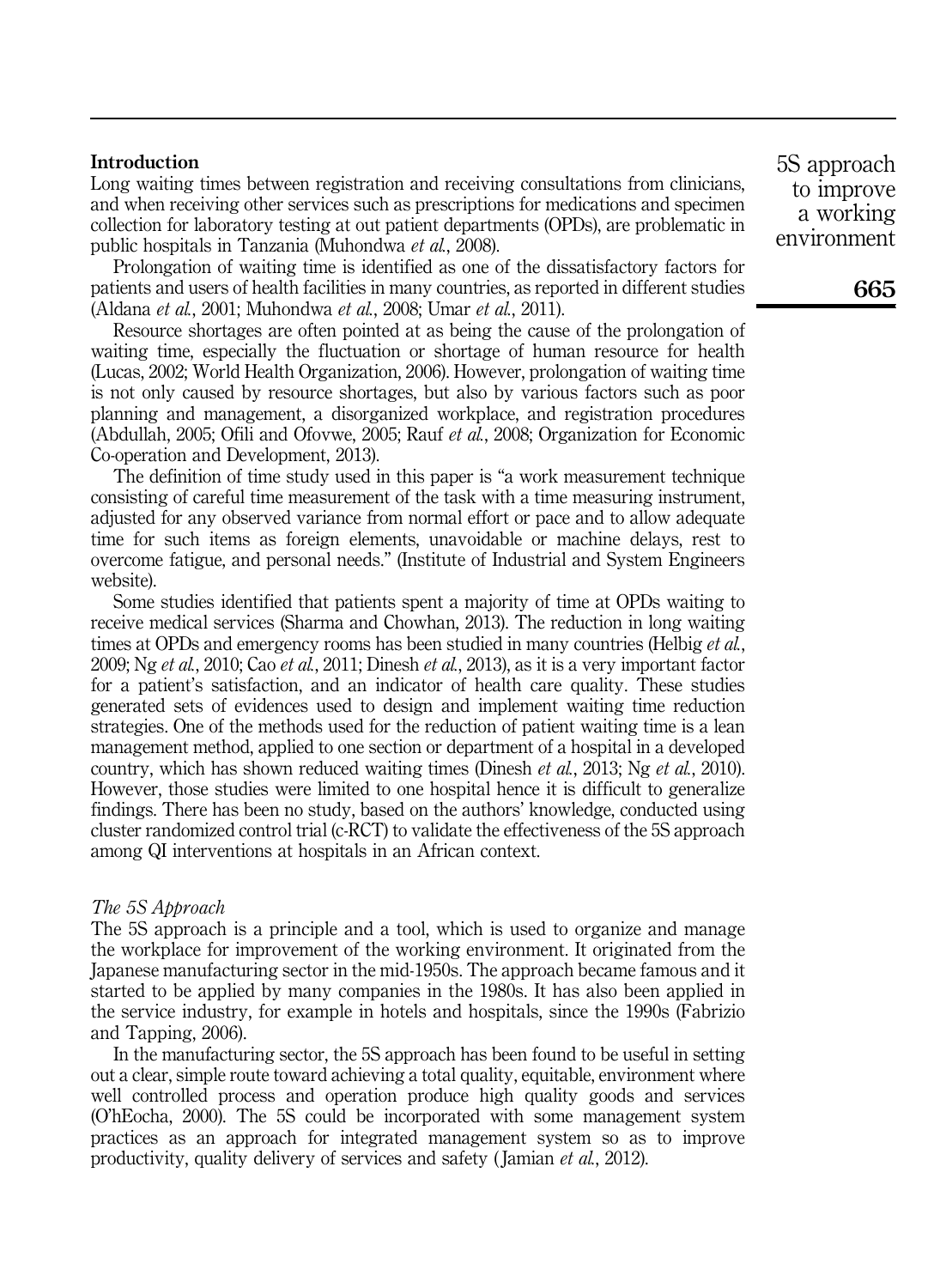### Introduction

Long waiting times between registration and receiving consultations from clinicians, and when receiving other services such as prescriptions for medications and specimen collection for laboratory testing at out patient departments (OPDs), are problematic in public hospitals in Tanzania (Muhondwa et al., 2008).

Prolongation of waiting time is identified as one of the dissatisfactory factors for patients and users of health facilities in many countries, as reported in different studies (Aldana et al., 2001; Muhondwa et al., 2008; Umar et al., 2011).

Resource shortages are often pointed at as being the cause of the prolongation of waiting time, especially the fluctuation or shortage of human resource for health (Lucas, 2002; World Health Organization, 2006). However, prolongation of waiting time is not only caused by resource shortages, but also by various factors such as poor planning and management, a disorganized workplace, and registration procedures (Abdullah, 2005; Ofili and Ofovwe, 2005; Rauf et al., 2008; Organization for Economic Co-operation and Development, 2013).

The definition of time study used in this paper is "a work measurement technique consisting of careful time measurement of the task with a time measuring instrument, adjusted for any observed variance from normal effort or pace and to allow adequate time for such items as foreign elements, unavoidable or machine delays, rest to overcome fatigue, and personal needs." (Institute of Industrial and System Engineers website).

Some studies identified that patients spent a majority of time at OPDs waiting to receive medical services (Sharma and Chowhan, 2013). The reduction in long waiting times at OPDs and emergency rooms has been studied in many countries (Helbig *et al.*, 2009; Ng et al., 2010; Cao et al., 2011; Dinesh et al., 2013), as it is a very important factor for a patient's satisfaction, and an indicator of health care quality. These studies generated sets of evidences used to design and implement waiting time reduction strategies. One of the methods used for the reduction of patient waiting time is a lean management method, applied to one section or department of a hospital in a developed country, which has shown reduced waiting times (Dinesh *et al.*, 2013; Ng *et al.*, 2010). However, those studies were limited to one hospital hence it is difficult to generalize findings. There has been no study, based on the authors' knowledge, conducted using cluster randomized control trial (c-RCT) to validate the effectiveness of the 5S approach among QI interventions at hospitals in an African context.

#### The 5S Approach

The 5S approach is a principle and a tool, which is used to organize and manage the workplace for improvement of the working environment. It originated from the Japanese manufacturing sector in the mid-1950s. The approach became famous and it started to be applied by many companies in the 1980s. It has also been applied in the service industry, for example in hotels and hospitals, since the 1990s (Fabrizio and Tapping, 2006).

In the manufacturing sector, the 5S approach has been found to be useful in setting out a clear, simple route toward achieving a total quality, equitable, environment where well controlled process and operation produce high quality goods and services (O'hEocha, 2000). The 5S could be incorporated with some management system practices as an approach for integrated management system so as to improve productivity, quality delivery of services and safety (Jamian et al., 2012).

5S approach to improve a working environment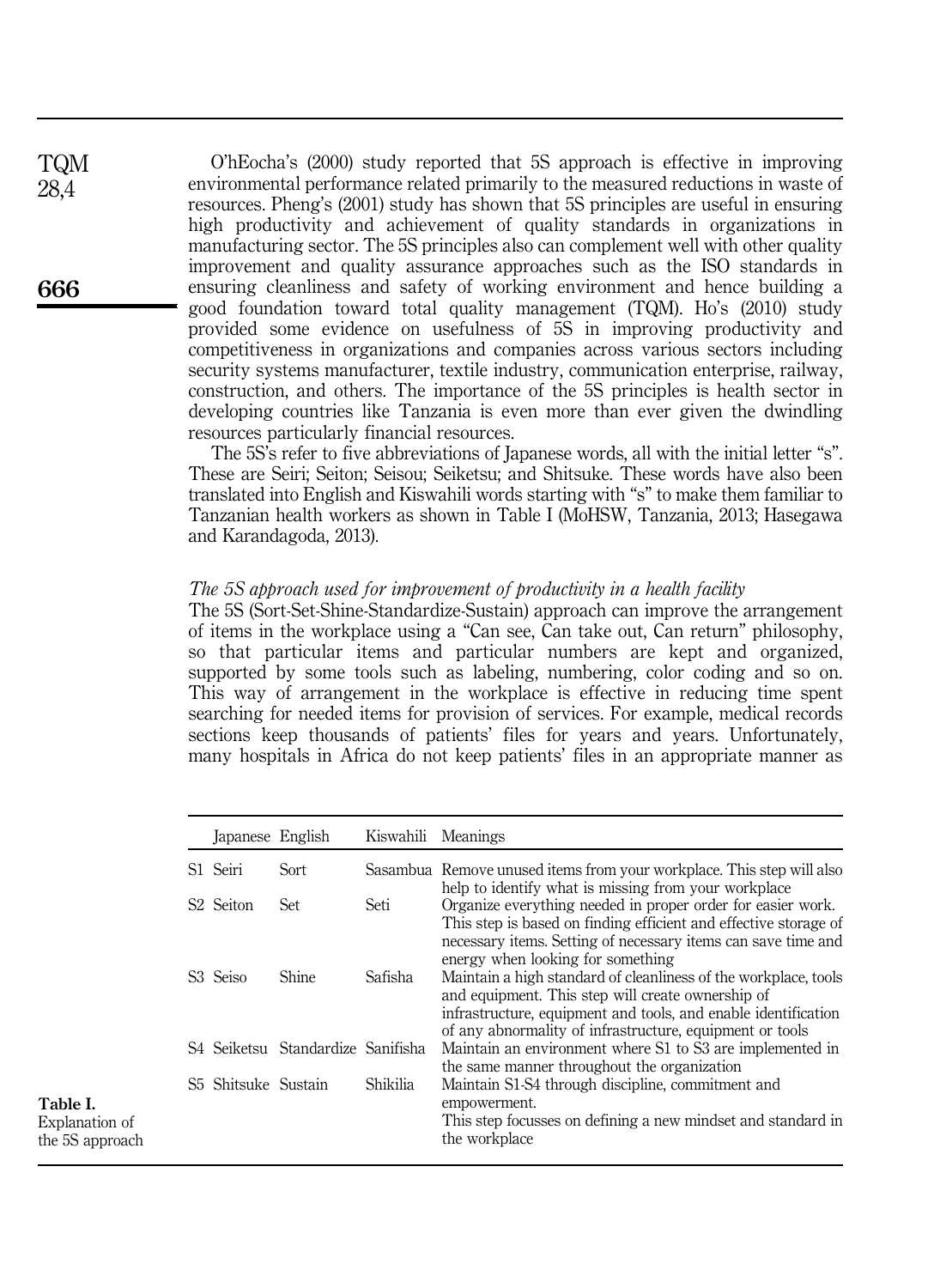O'hEocha's (2000) study reported that 5S approach is effective in improving environmental performance related primarily to the measured reductions in waste of resources. Pheng's (2001) study has shown that 5S principles are useful in ensuring high productivity and achievement of quality standards in organizations in manufacturing sector. The 5S principles also can complement well with other quality improvement and quality assurance approaches such as the ISO standards in ensuring cleanliness and safety of working environment and hence building a good foundation toward total quality management (TQM). Ho's (2010) study provided some evidence on usefulness of 5S in improving productivity and competitiveness in organizations and companies across various sectors including security systems manufacturer, textile industry, communication enterprise, railway, construction, and others. The importance of the 5S principles is health sector in developing countries like Tanzania is even more than ever given the dwindling resources particularly financial resources.

The 5S's refer to five abbreviations of Japanese words, all with the initial letter "s". These are Seiri; Seiton; Seisou; Seiketsu; and Shitsuke. These words have also been translated into English and Kiswahili words starting with "s" to make them familiar to Tanzanian health workers as shown in Table I (MoHSW, Tanzania, 2013; Hasegawa and Karandagoda, 2013).

#### The 5S approach used for improvement of productivity in a health facility

The 5S (Sort-Set-Shine-Standardize-Sustain) approach can improve the arrangement of items in the workplace using a "Can see, Can take out, Can return" philosophy, so that particular items and particular numbers are kept and organized, supported by some tools such as labeling, numbering, color coding and so on. This way of arrangement in the workplace is effective in reducing time spent searching for needed items for provision of services. For example, medical records sections keep thousands of patients' files for years and years. Unfortunately, many hospitals in Africa do not keep patients' files in an appropriate manner as

| Japanese English      |                                   | Kiswahili Meanings |                                                                                                                                                                                                                                                    |
|-----------------------|-----------------------------------|--------------------|----------------------------------------------------------------------------------------------------------------------------------------------------------------------------------------------------------------------------------------------------|
| S1 Seiri              | Sort                              |                    | Sasambua Remove unused items from your workplace. This step will also<br>help to identify what is missing from your workplace                                                                                                                      |
| S <sub>2</sub> Seiton | Set                               | Seti               | Organize everything needed in proper order for easier work.<br>This step is based on finding efficient and effective storage of<br>necessary items. Setting of necessary items can save time and<br>energy when looking for something              |
| S <sub>3</sub> Seiso  | <b>Shine</b>                      | Safisha            | Maintain a high standard of cleanliness of the workplace, tools<br>and equipment. This step will create ownership of<br>infrastructure, equipment and tools, and enable identification<br>of any abnormality of infrastructure, equipment or tools |
|                       | S4 Seiketsu Standardize Sanifisha |                    | Maintain an environment where S1 to S3 are implemented in<br>the same manner throughout the organization                                                                                                                                           |
| S5 Shitsuke Sustain   |                                   | Shikilia           | Maintain S1-S4 through discipline, commitment and<br>empowerment.<br>This step focusses on defining a new mindset and standard in<br>the workplace                                                                                                 |

666

TQM 28,4

Table I. Explanation of the 5S approach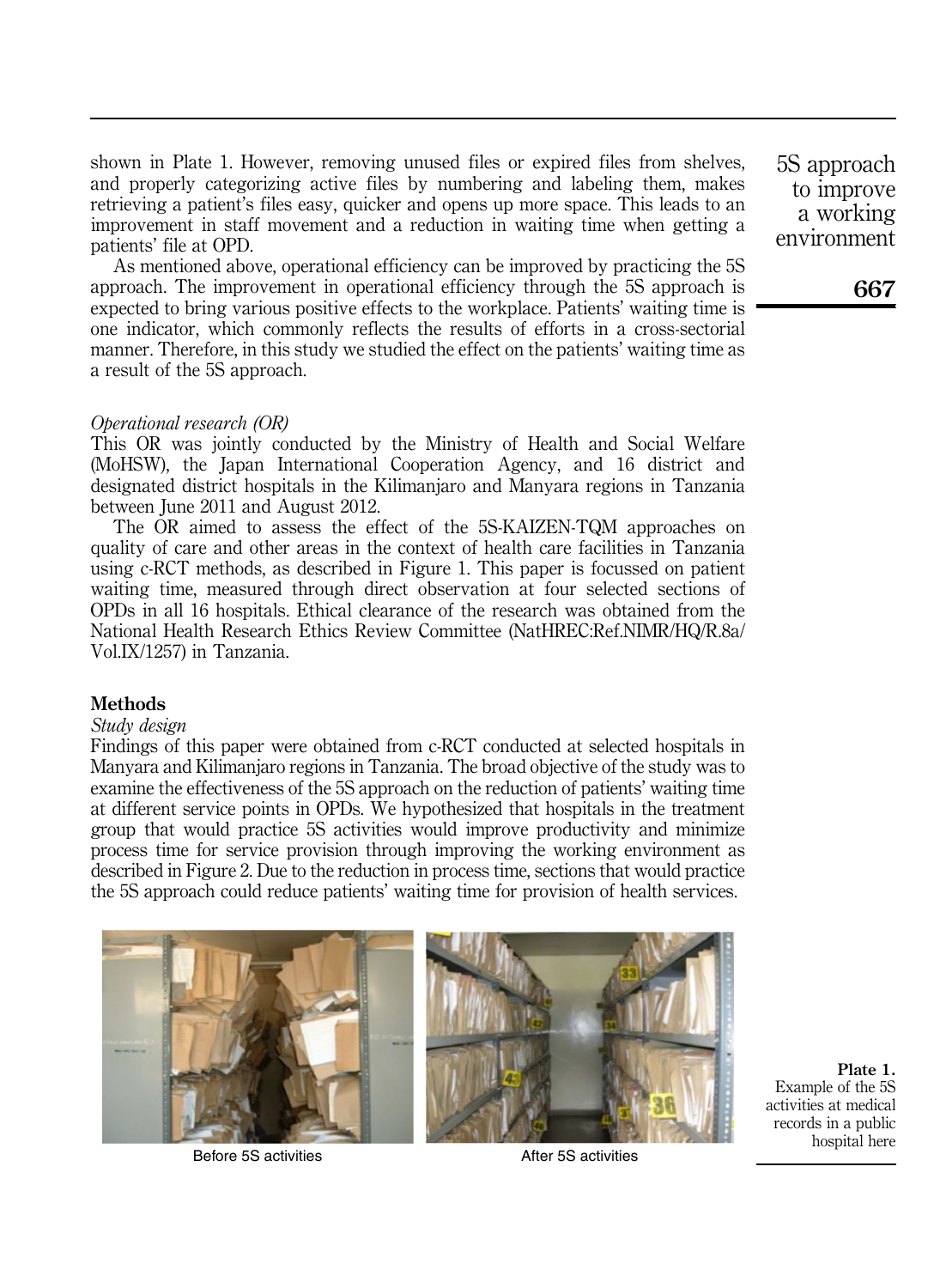shown in Plate 1. However, removing unused files or expired files from shelves, and properly categorizing active files by numbering and labeling them, makes retrieving a patient's files easy, quicker and opens up more space. This leads to an improvement in staff movement and a reduction in waiting time when getting a patients' file at OPD.

As mentioned above, operational efficiency can be improved by practicing the 5S approach. The improvement in operational efficiency through the 5S approach is expected to bring various positive effects to the workplace. Patients' waiting time is one indicator, which commonly reflects the results of efforts in a cross-sectorial manner. Therefore, in this study we studied the effect on the patients' waiting time as a result of the 5S approach.

#### Operational research (OR)

This OR was jointly conducted by the Ministry of Health and Social Welfare (MoHSW), the Japan International Cooperation Agency, and 16 district and designated district hospitals in the Kilimanjaro and Manyara regions in Tanzania between June 2011 and August 2012.

The OR aimed to assess the effect of the 5S-KAIZEN-TQM approaches on quality of care and other areas in the context of health care facilities in Tanzania using c-RCT methods, as described in Figure 1. This paper is focussed on patient waiting time, measured through direct observation at four selected sections of OPDs in all 16 hospitals. Ethical clearance of the research was obtained from the National Health Research Ethics Review Committee (NatHREC:Ref.NIMR/HQ/R.8a/ Vol.IX/1257) in Tanzania.

#### **Methods**

#### Study design

Findings of this paper were obtained from c-RCT conducted at selected hospitals in Manyara and Kilimanjaro regions in Tanzania. The broad objective of the study was to examine the effectiveness of the 5S approach on the reduction of patients' waiting time at different service points in OPDs. We hypothesized that hospitals in the treatment group that would practice 5S activities would improve productivity and minimize process time for service provision through improving the working environment as described in Figure 2. Due to the reduction in process time, sections that would practice the 5S approach could reduce patients' waiting time for provision of health services.





Before 5S activities **After 5S** activities

5S approach to improve a working environment

Plate 1. Example of the 5S activities at medical records in a public hospital here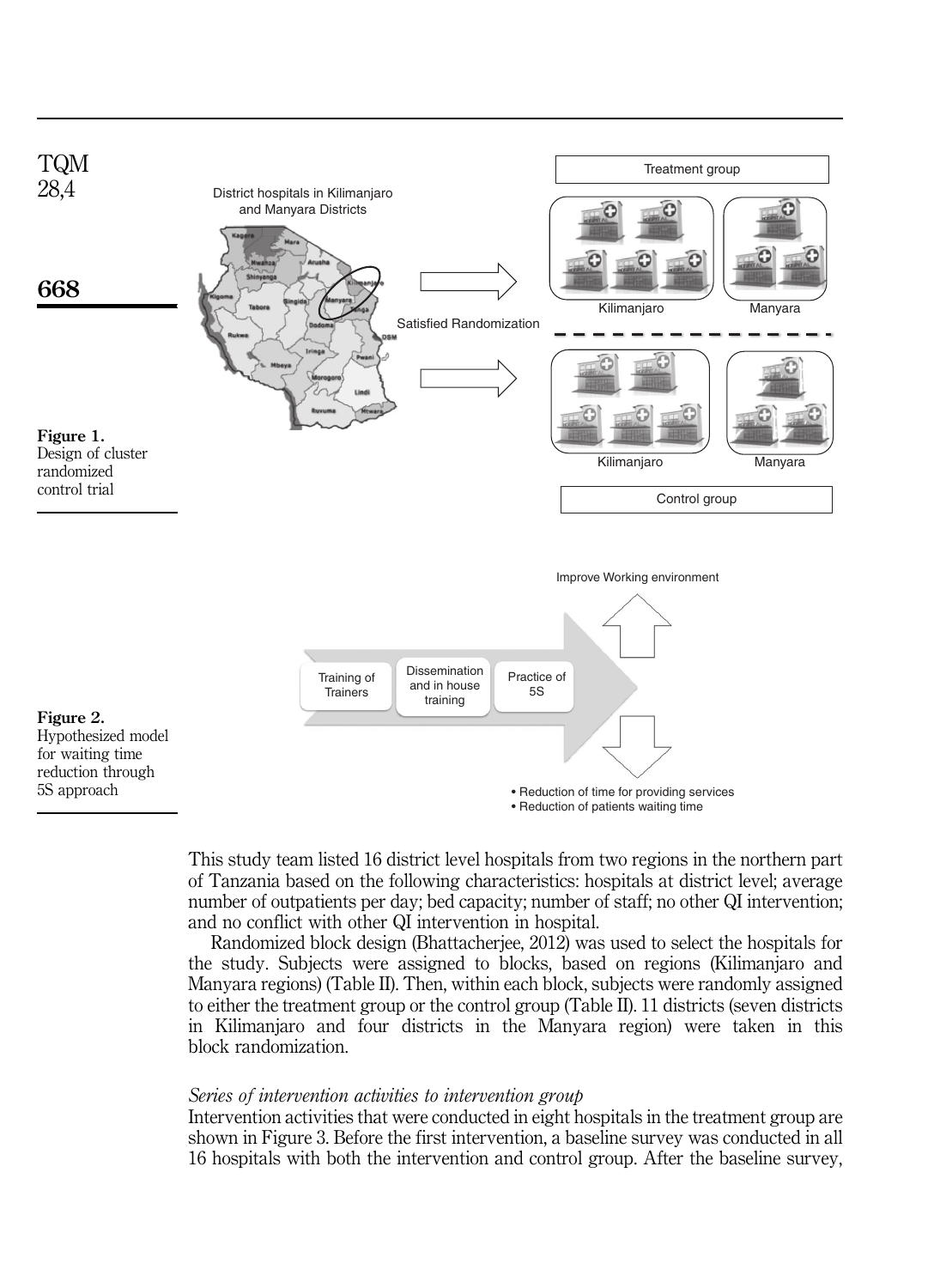

This study team listed 16 district level hospitals from two regions in the northern part of Tanzania based on the following characteristics: hospitals at district level; average number of outpatients per day; bed capacity; number of staff; no other QI intervention; and no conflict with other QI intervention in hospital.

Randomized block design (Bhattacherjee, 2012) was used to select the hospitals for the study. Subjects were assigned to blocks, based on regions (Kilimanjaro and Manyara regions) (Table II). Then, within each block, subjects were randomly assigned to either the treatment group or the control group (Table II). 11 districts (seven districts in Kilimanjaro and four districts in the Manyara region) were taken in this block randomization.

#### Series of intervention activities to intervention group

Intervention activities that were conducted in eight hospitals in the treatment group are shown in Figure 3. Before the first intervention, a baseline survey was conducted in all 16 hospitals with both the intervention and control group. After the baseline survey,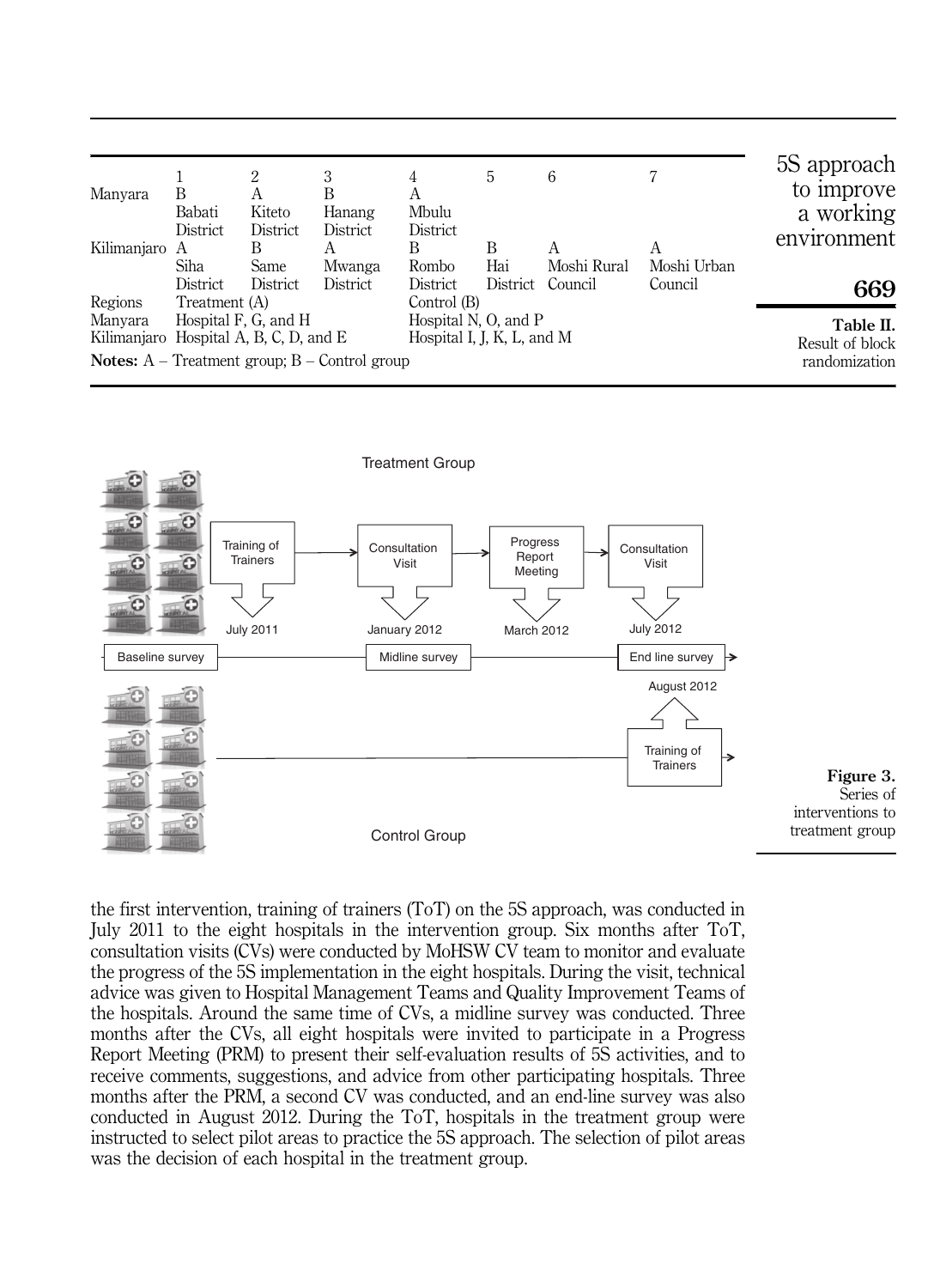| Manyara<br>Kilimanjaro A                                                                                      | B<br>Babati<br>District<br>Siha | 2<br>A<br>Kiteto<br>District<br>В<br>Same | 3<br>В<br>Hanang<br>District<br>A<br>Mwanga | 4<br>А<br>Mbulu<br>District<br>B<br>Rombo          | 5<br>B<br>Hai    | 6<br>А<br>Moshi Rural | A<br>Moshi Urban | 5S approach<br>to improve<br>a working<br>environment |
|---------------------------------------------------------------------------------------------------------------|---------------------------------|-------------------------------------------|---------------------------------------------|----------------------------------------------------|------------------|-----------------------|------------------|-------------------------------------------------------|
| Regions                                                                                                       | District<br>Treatment (A)       | <b>District</b>                           | District                                    | District<br>Control (B)                            | District Council |                       | Council          | 669                                                   |
| Manyara<br>Kilimanjaro Hospital A, B, C, D, and E<br><b>Notes:</b> $A$ – Treatment group; $B$ – Control group | Hospital F, G, and H            |                                           |                                             | Hospital N, O, and P<br>Hospital I, J, K, L, and M |                  |                       |                  | Table II.<br>Result of block<br>randomization         |



Series of

the first intervention, training of trainers (ToT) on the 5S approach, was conducted in July 2011 to the eight hospitals in the intervention group. Six months after ToT, consultation visits (CVs) were conducted by MoHSW CV team to monitor and evaluate the progress of the 5S implementation in the eight hospitals. During the visit, technical advice was given to Hospital Management Teams and Quality Improvement Teams of the hospitals. Around the same time of CVs, a midline survey was conducted. Three months after the CVs, all eight hospitals were invited to participate in a Progress Report Meeting (PRM) to present their self-evaluation results of 5S activities, and to receive comments, suggestions, and advice from other participating hospitals. Three months after the PRM, a second CV was conducted, and an end-line survey was also conducted in August 2012. During the ToT, hospitals in the treatment group were instructed to select pilot areas to practice the 5S approach. The selection of pilot areas was the decision of each hospital in the treatment group.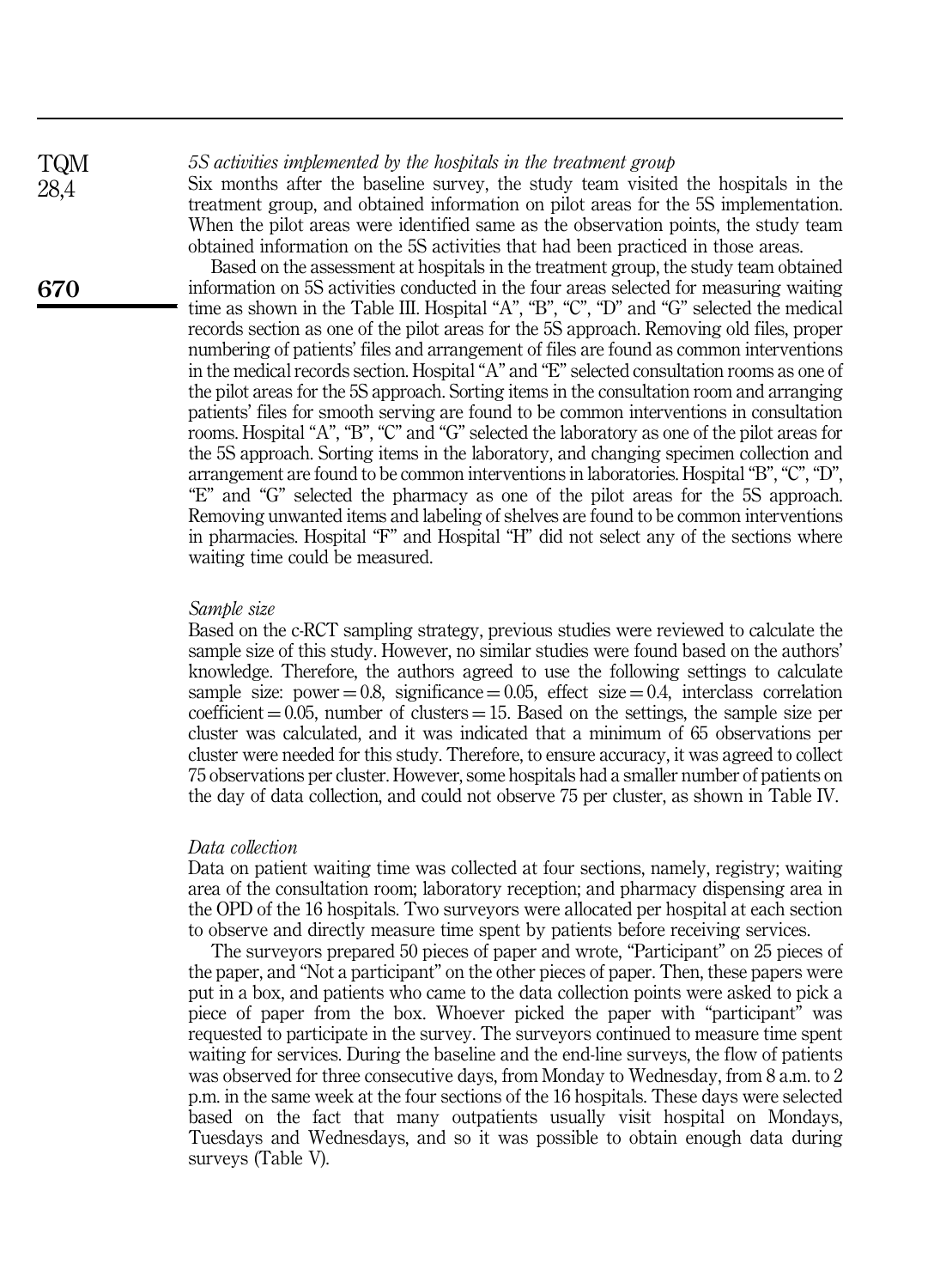5S activities implemented by the hospitals in the treatment group

Six months after the baseline survey, the study team visited the hospitals in the treatment group, and obtained information on pilot areas for the 5S implementation. When the pilot areas were identified same as the observation points, the study team obtained information on the 5S activities that had been practiced in those areas.

Based on the assessment at hospitals in the treatment group, the study team obtained information on 5S activities conducted in the four areas selected for measuring waiting time as shown in the Table III. Hospital "A", "B", "C", "D" and "G" selected the medical records section as one of the pilot areas for the 5S approach. Removing old files, proper numbering of patients' files and arrangement of files are found as common interventions in the medical records section. Hospital "A" and "E" selected consultation rooms as one of the pilot areas for the 5S approach. Sorting items in the consultation room and arranging patients' files for smooth serving are found to be common interventions in consultation rooms. Hospital "A", "B", "C" and "G" selected the laboratory as one of the pilot areas for the 5S approach. Sorting items in the laboratory, and changing specimen collection and arrangement are found to be common interventions in laboratories. Hospital "B", "C", "D", "E" and "G" selected the pharmacy as one of the pilot areas for the 5S approach. Removing unwanted items and labeling of shelves are found to be common interventions in pharmacies. Hospital "F" and Hospital "H" did not select any of the sections where waiting time could be measured.

#### Sample size

Based on the c-RCT sampling strategy, previous studies were reviewed to calculate the sample size of this study. However, no similar studies were found based on the authors' knowledge. Therefore, the authors agreed to use the following settings to calculate sample size: power  $= 0.8$ , significance  $= 0.05$ , effect size  $= 0.4$ , interclass correlation  $coefficient = 0.05$ , number of clusters = 15. Based on the settings, the sample size per cluster was calculated, and it was indicated that a minimum of 65 observations per cluster were needed for this study. Therefore, to ensure accuracy, it was agreed to collect 75 observations per cluster. However, some hospitals had a smaller number of patients on the day of data collection, and could not observe 75 per cluster, as shown in Table IV.

#### Data collection

Data on patient waiting time was collected at four sections, namely, registry; waiting area of the consultation room; laboratory reception; and pharmacy dispensing area in the OPD of the 16 hospitals. Two surveyors were allocated per hospital at each section to observe and directly measure time spent by patients before receiving services.

The surveyors prepared 50 pieces of paper and wrote, "Participant" on 25 pieces of the paper, and "Not a participant" on the other pieces of paper. Then, these papers were put in a box, and patients who came to the data collection points were asked to pick a piece of paper from the box. Whoever picked the paper with "participant" was requested to participate in the survey. The surveyors continued to measure time spent waiting for services. During the baseline and the end-line surveys, the flow of patients was observed for three consecutive days, from Monday to Wednesday, from 8 a.m. to 2 p.m. in the same week at the four sections of the 16 hospitals. These days were selected based on the fact that many outpatients usually visit hospital on Mondays, Tuesdays and Wednesdays, and so it was possible to obtain enough data during surveys (Table V).

TQM 28,4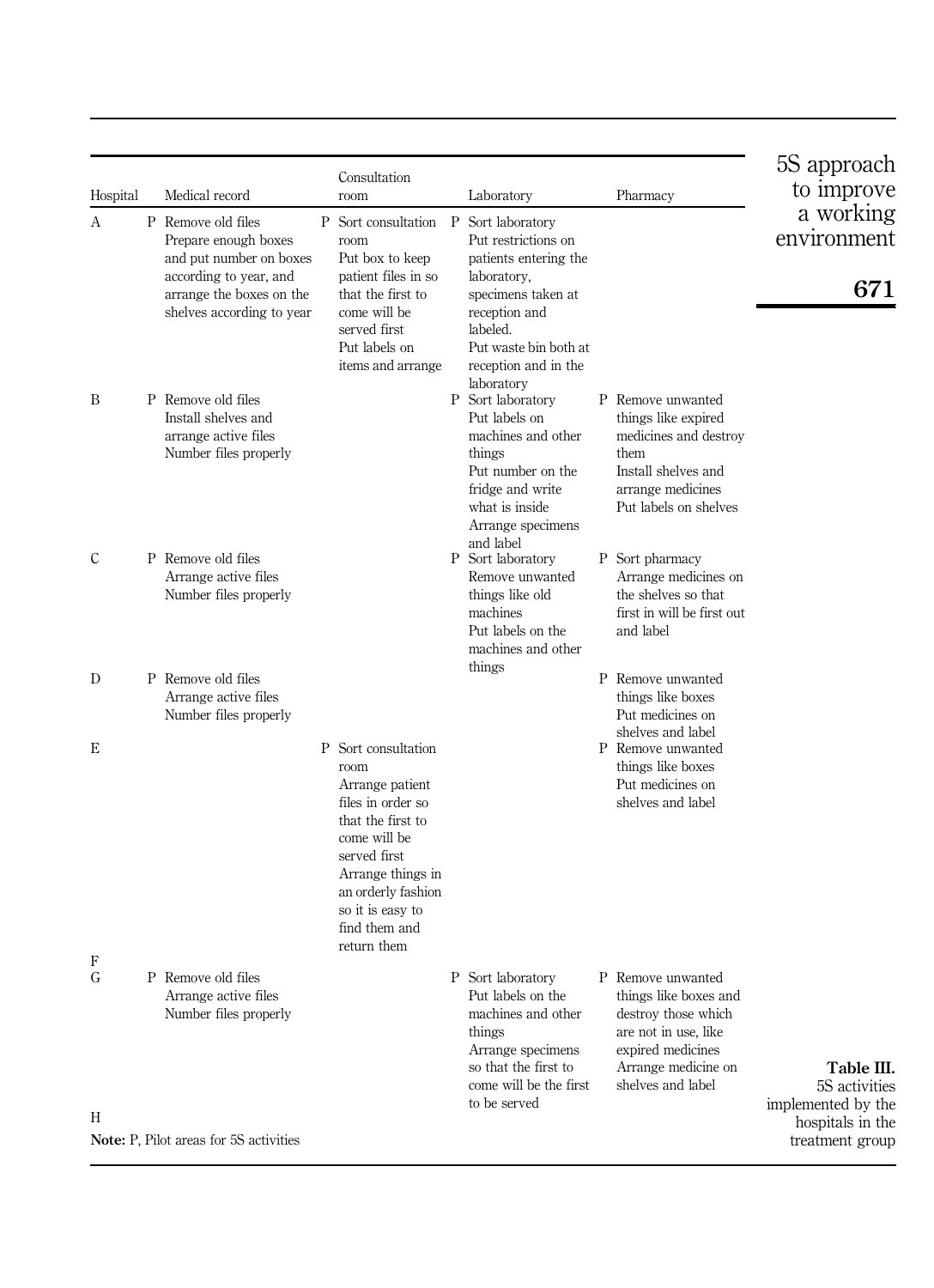| Hospital |   | Medical record                                                                                                                                           | Consultation<br>room                                                                                                                                                                                                    | Laboratory                                                                                                                                                                                            | Pharmacy                                                                                                                                                   | 5S approach<br>to improve                         |
|----------|---|----------------------------------------------------------------------------------------------------------------------------------------------------------|-------------------------------------------------------------------------------------------------------------------------------------------------------------------------------------------------------------------------|-------------------------------------------------------------------------------------------------------------------------------------------------------------------------------------------------------|------------------------------------------------------------------------------------------------------------------------------------------------------------|---------------------------------------------------|
| А        |   | P Remove old files<br>Prepare enough boxes<br>and put number on boxes<br>according to year, and<br>arrange the boxes on the<br>shelves according to year | P Sort consultation<br>room<br>Put box to keep<br>patient files in so<br>that the first to<br>come will be<br>served first<br>Put labels on                                                                             | P Sort laboratory<br>Put restrictions on<br>patients entering the<br>laboratory,<br>specimens taken at<br>reception and<br>labeled.<br>Put waste bin both at                                          |                                                                                                                                                            | a working<br>environment<br>671                   |
| B        | P | Remove old files<br>Install shelves and<br>arrange active files<br>Number files properly                                                                 | items and arrange                                                                                                                                                                                                       | reception and in the<br>laboratory<br>P Sort laboratory<br>Put labels on<br>machines and other<br>things<br>Put number on the<br>fridge and write<br>what is inside<br>Arrange specimens<br>and label | P Remove unwanted<br>things like expired<br>medicines and destroy<br>them<br>Install shelves and<br>arrange medicines<br>Put labels on shelves             |                                                   |
| C        |   | P Remove old files<br>Arrange active files<br>Number files properly                                                                                      |                                                                                                                                                                                                                         | P Sort laboratory<br>Remove unwanted<br>things like old<br>machines<br>Put labels on the<br>machines and other                                                                                        | P Sort pharmacy<br>Arrange medicines on<br>the shelves so that<br>first in will be first out<br>and label                                                  |                                                   |
| D        |   | P Remove old files<br>Arrange active files<br>Number files properly                                                                                      |                                                                                                                                                                                                                         | things                                                                                                                                                                                                | P Remove unwanted<br>things like boxes<br>Put medicines on                                                                                                 |                                                   |
| E        |   |                                                                                                                                                          | P Sort consultation<br>room<br>Arrange patient<br>files in order so<br>that the first to<br>come will be<br>served first<br>Arrange things in<br>an orderly fashion<br>so it is easy to<br>find them and<br>return them |                                                                                                                                                                                                       | shelves and label<br>P Remove unwanted<br>things like boxes<br>Put medicines on<br>shelves and label                                                       |                                                   |
| F<br>G   |   | P Remove old files<br>Arrange active files<br>Number files properly                                                                                      |                                                                                                                                                                                                                         | P Sort laboratory<br>Put labels on the<br>machines and other<br>things<br>Arrange specimens<br>so that the first to<br>come will be the first<br>to be served                                         | P Remove unwanted<br>things like boxes and<br>destroy those which<br>are not in use, like<br>expired medicines<br>Arrange medicine on<br>shelves and label | Table III.<br>5S activities<br>implemented by the |
| H        |   | <b>Note:</b> P, Pilot areas for 5S activities                                                                                                            |                                                                                                                                                                                                                         |                                                                                                                                                                                                       |                                                                                                                                                            | hospitals in the<br>treatment group               |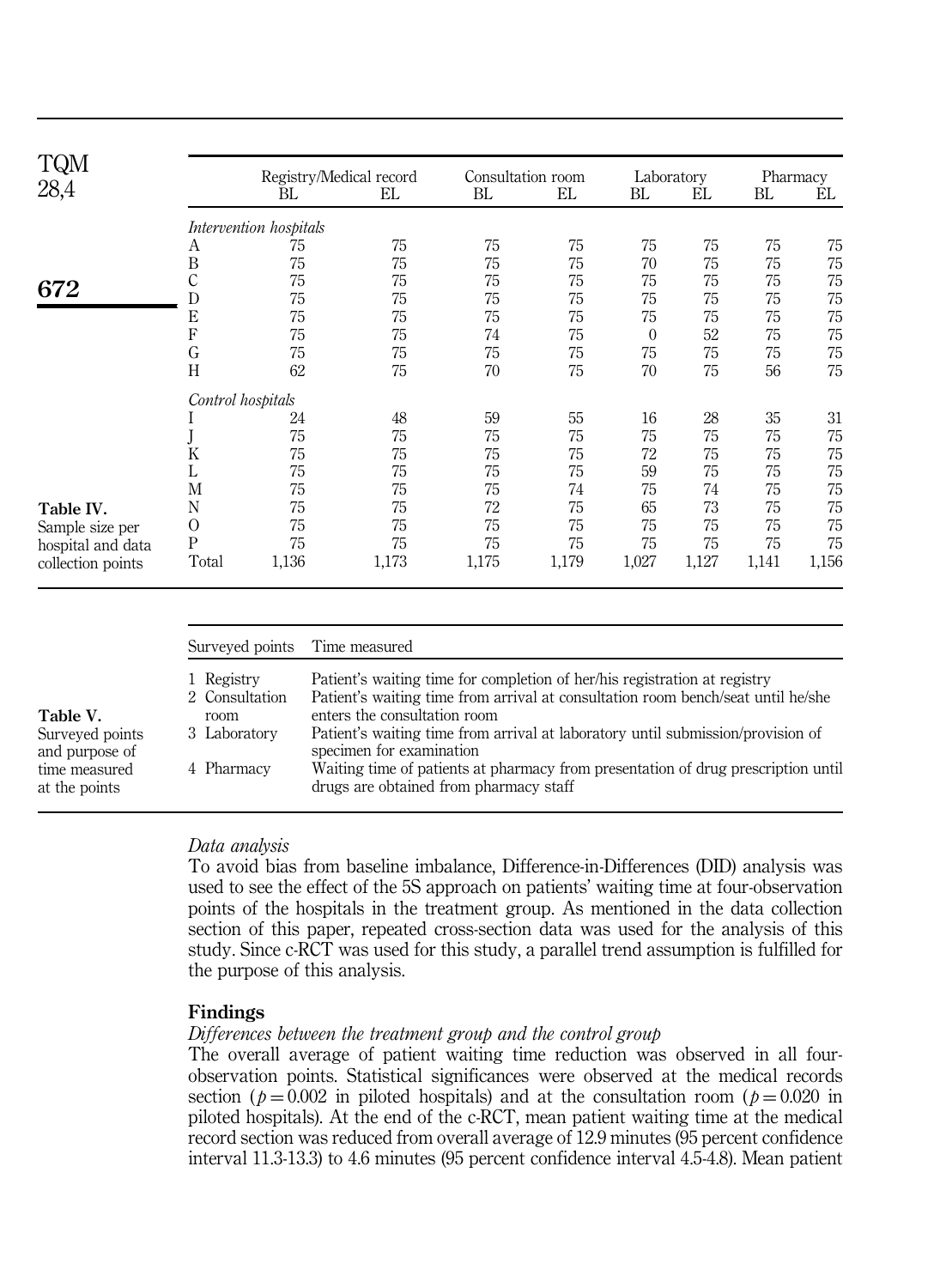| TQM<br>28,4                                                                     |                                                                                            | BL                                                    | Registry/Medical record<br>EL                                                                                                                                                                                                                                                                                                                                                                                                                                | BL                                                    | Consultation room<br>EL                               | <b>BL</b>                                             | Laboratory<br>EL                                      | BL                                                    | Pharmacy<br>EL                                        |
|---------------------------------------------------------------------------------|--------------------------------------------------------------------------------------------|-------------------------------------------------------|--------------------------------------------------------------------------------------------------------------------------------------------------------------------------------------------------------------------------------------------------------------------------------------------------------------------------------------------------------------------------------------------------------------------------------------------------------------|-------------------------------------------------------|-------------------------------------------------------|-------------------------------------------------------|-------------------------------------------------------|-------------------------------------------------------|-------------------------------------------------------|
| 672                                                                             | А<br>B<br>Ċ<br>D                                                                           | Intervention hospitals<br>75<br>75<br>75<br>75        | 75<br>75<br>75<br>75                                                                                                                                                                                                                                                                                                                                                                                                                                         | 75<br>75<br>75<br>75                                  | 75<br>75<br>75<br>75                                  | 75<br>70<br>75<br>75                                  | 75<br>75<br>75<br>75                                  | 75<br>75<br>75<br>75                                  | 75<br>75<br>75<br>75                                  |
|                                                                                 | E<br>F<br>G<br>H                                                                           | 75<br>75<br>75<br>62                                  | 75<br>75<br>75<br>75                                                                                                                                                                                                                                                                                                                                                                                                                                         | 75<br>74<br>75<br>70                                  | 75<br>75<br>75<br>75                                  | 75<br>$\overline{0}$<br>75<br>70                      | 75<br>52<br>75<br>75                                  | 75<br>75<br>75<br>56                                  | 75<br>75<br>75<br>75                                  |
| Table IV.<br>Sample size per<br>hospital and data<br>collection points          | Control hospitals<br>I<br>J<br>K<br>L<br>M<br>N<br>$\overline{O}$<br>$\mathbf{P}$<br>Total | 24<br>75<br>75<br>75<br>75<br>75<br>75<br>75<br>1,136 | 48<br>75<br>75<br>75<br>75<br>75<br>75<br>75<br>1,173                                                                                                                                                                                                                                                                                                                                                                                                        | 59<br>75<br>75<br>75<br>75<br>72<br>75<br>75<br>1,175 | 55<br>75<br>75<br>75<br>74<br>75<br>75<br>75<br>1,179 | 16<br>75<br>72<br>59<br>75<br>65<br>75<br>75<br>1,027 | 28<br>75<br>75<br>75<br>74<br>73<br>75<br>75<br>1,127 | 35<br>75<br>75<br>75<br>75<br>75<br>75<br>75<br>1,141 | 31<br>75<br>75<br>75<br>75<br>75<br>75<br>75<br>1,156 |
| Table V.<br>Surveyed points<br>and purpose of<br>time measured<br>at the points | Surveyed points<br>1 Registry<br>2 Consultation<br>room<br>3 Laboratory<br>4 Pharmacy      |                                                       | Time measured<br>Patient's waiting time for completion of her/his registration at registry<br>Patient's waiting time from arrival at consultation room bench/seat until he/she<br>enters the consultation room<br>Patient's waiting time from arrival at laboratory until submission/provision of<br>specimen for examination<br>Waiting time of patients at pharmacy from presentation of drug prescription until<br>drugs are obtained from pharmacy staff |                                                       |                                                       |                                                       |                                                       |                                                       |                                                       |

#### Data analysis

To avoid bias from baseline imbalance, Difference-in-Differences (DID) analysis was used to see the effect of the 5S approach on patients' waiting time at four-observation points of the hospitals in the treatment group. As mentioned in the data collection section of this paper, repeated cross-section data was used for the analysis of this study. Since c-RCT was used for this study, a parallel trend assumption is fulfilled for the purpose of this analysis.

#### Findings

#### Differences between the treatment group and the control group

The overall average of patient waiting time reduction was observed in all fourobservation points. Statistical significances were observed at the medical records section ( $p = 0.002$  in piloted hospitals) and at the consultation room ( $p = 0.020$  in piloted hospitals). At the end of the c-RCT, mean patient waiting time at the medical record section was reduced from overall average of 12.9 minutes (95 percent confidence interval 11.3-13.3) to 4.6 minutes (95 percent confidence interval 4.5-4.8). Mean patient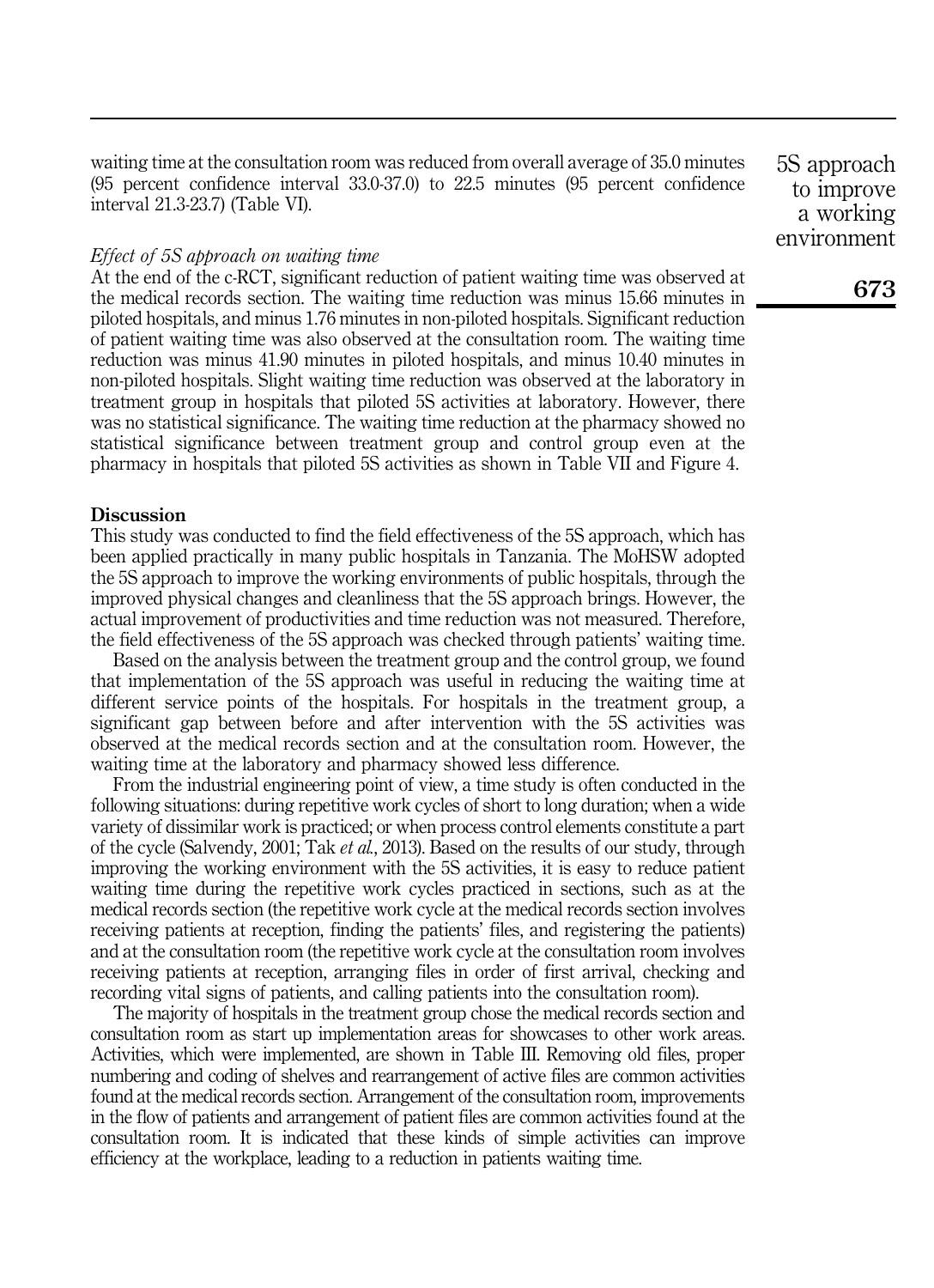waiting time at the consultation room was reduced from overall average of 35.0 minutes (95 percent confidence interval 33.0-37.0) to 22.5 minutes (95 percent confidence interval 21.3-23.7) (Table VI).

#### Effect of 5S approach on waiting time

At the end of the c-RCT, significant reduction of patient waiting time was observed at the medical records section. The waiting time reduction was minus 15.66 minutes in piloted hospitals, and minus 1.76 minutes in non-piloted hospitals. Significant reduction of patient waiting time was also observed at the consultation room. The waiting time reduction was minus 41.90 minutes in piloted hospitals, and minus 10.40 minutes in non-piloted hospitals. Slight waiting time reduction was observed at the laboratory in treatment group in hospitals that piloted 5S activities at laboratory. However, there was no statistical significance. The waiting time reduction at the pharmacy showed no statistical significance between treatment group and control group even at the pharmacy in hospitals that piloted 5S activities as shown in Table VII and Figure 4.

#### **Discussion**

This study was conducted to find the field effectiveness of the 5S approach, which has been applied practically in many public hospitals in Tanzania. The MoHSW adopted the 5S approach to improve the working environments of public hospitals, through the improved physical changes and cleanliness that the 5S approach brings. However, the actual improvement of productivities and time reduction was not measured. Therefore, the field effectiveness of the 5S approach was checked through patients' waiting time.

Based on the analysis between the treatment group and the control group, we found that implementation of the 5S approach was useful in reducing the waiting time at different service points of the hospitals. For hospitals in the treatment group, a significant gap between before and after intervention with the 5S activities was observed at the medical records section and at the consultation room. However, the waiting time at the laboratory and pharmacy showed less difference.

From the industrial engineering point of view, a time study is often conducted in the following situations: during repetitive work cycles of short to long duration; when a wide variety of dissimilar work is practiced; or when process control elements constitute a part of the cycle (Salvendy, 2001; Tak et al., 2013). Based on the results of our study, through improving the working environment with the 5S activities, it is easy to reduce patient waiting time during the repetitive work cycles practiced in sections, such as at the medical records section (the repetitive work cycle at the medical records section involves receiving patients at reception, finding the patients' files, and registering the patients) and at the consultation room (the repetitive work cycle at the consultation room involves receiving patients at reception, arranging files in order of first arrival, checking and recording vital signs of patients, and calling patients into the consultation room).

The majority of hospitals in the treatment group chose the medical records section and consultation room as start up implementation areas for showcases to other work areas. Activities, which were implemented, are shown in Table III. Removing old files, proper numbering and coding of shelves and rearrangement of active files are common activities found at the medical records section. Arrangement of the consultation room, improvements in the flow of patients and arrangement of patient files are common activities found at the consultation room. It is indicated that these kinds of simple activities can improve efficiency at the workplace, leading to a reduction in patients waiting time.

5S approach to improve a working environment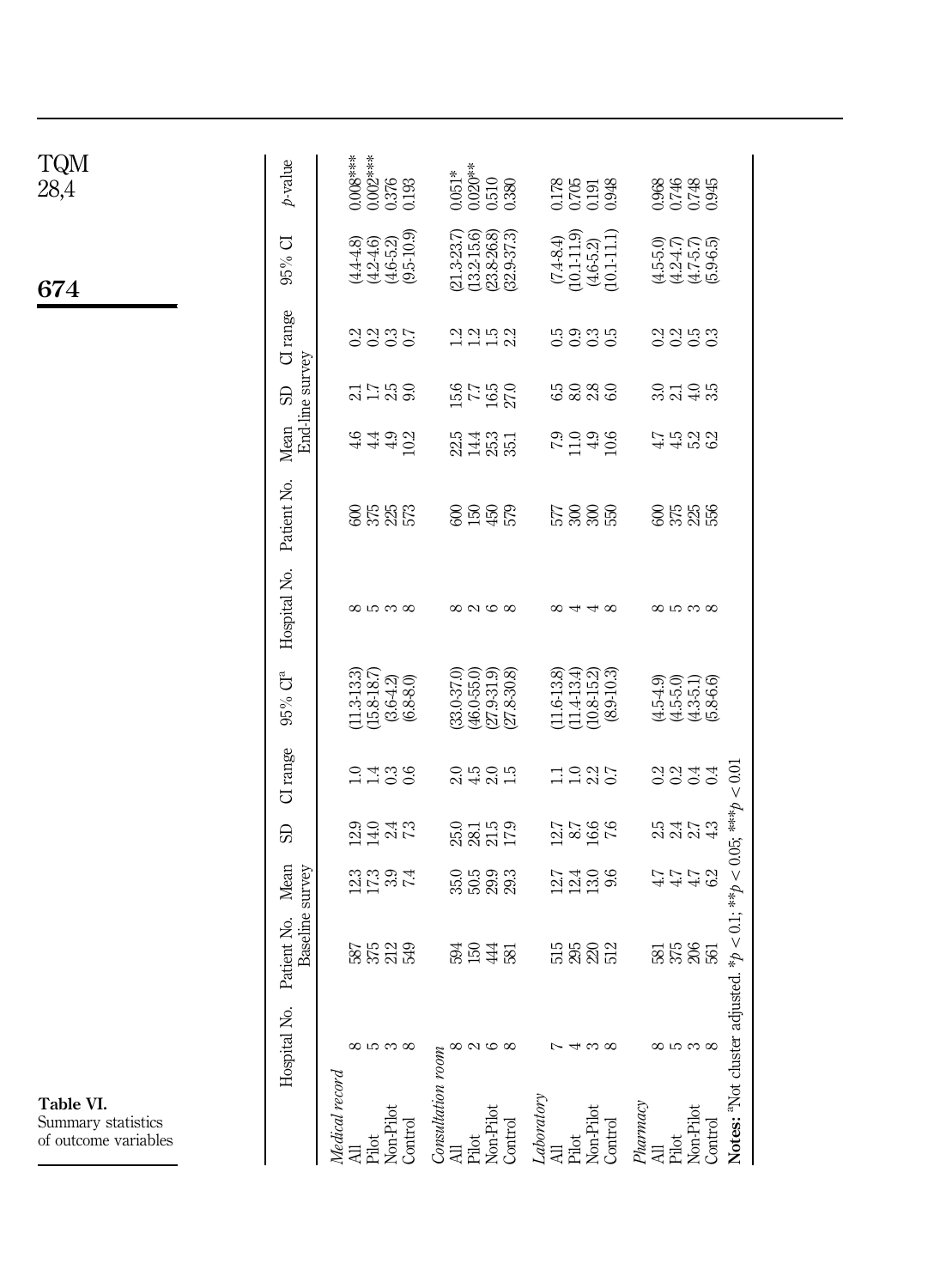| <b>TQM</b><br>28,4                                      | $p$ -value                         | $0.008***$<br>$0.002$ ***<br>0.376<br>0.193                          | $0.020**$<br>$0.051*$<br>$0.510\,$<br>0.380                              | $0.178\,$<br>0.705<br>0.191<br>0.948                                    | 0.746<br>0.748<br>0.945<br>0.968                               |
|---------------------------------------------------------|------------------------------------|----------------------------------------------------------------------|--------------------------------------------------------------------------|-------------------------------------------------------------------------|----------------------------------------------------------------|
| 674                                                     | $95%$ CI                           | $(9.5 - 10.9)$<br>$(4.6 - 5.2)$<br>$(4.4 - 4.8)$<br>$(4.2 - 4.6)$    | $(13.2 - 15.6)$<br>$(23.8 - 26.8)$<br>$(32.9 - 37.3)$<br>$(21.3 - 23.7)$ | $(10.1 - 1.9)$<br>$10.1 - 11.1$<br>$(7.4-8.4)$<br>$(4.6 - 5.2)$         | $(4.5 - 5.0)$<br>$(424.7)$<br>$(4.75.7)$<br>$(5.96.5)$         |
|                                                         | CI range                           | 2235                                                                 | $11.52$<br>$1.52$                                                        | saas<br>SSSS                                                            | 2253                                                           |
|                                                         | End-line survey<br><b>GS</b>       | $217.50$<br>$25.5$                                                   | 157<br>165<br>270                                                        |                                                                         | 3135<br>3143                                                   |
|                                                         | Mean                               | 4.6<br>$492$<br>$492$                                                | 22.5<br>14.3<br>15.3<br>35.1                                             | $7000$<br>$1000$<br>$100$                                               | 4523<br>47                                                     |
|                                                         | Patient No.                        | <b>325</b><br>285<br>600                                             | 600<br><b>B</b><br>88<br>8                                               | នីនីនី                                                                  | <b>SERS</b>                                                    |
|                                                         | Hospital No.                       | ထေဟကထ                                                                | $\infty \sim \infty$                                                     | $\infty$<br>440                                                         | ထေဟကထ                                                          |
|                                                         | 95% CI <sup>a</sup>                | $(11.3 - 13.3)$<br>$(15.8 - 18.7)$<br>$(6.8 - 8.0)$<br>$(3.6 - 4.2)$ | $(27.9 - 31.9)$<br>$(46.0 - 55.0)$<br>$(27.8 - 30.8)$<br>$(33.0 - 37.0)$ | $(11.4 - 13.4)$<br>$(11.6 - 13.8)$<br>$(10.8 - 15.2)$<br>$(8.9 - 10.3)$ | $(4.5 - 5.0)$<br>$(4.5 - 4.9)$<br>$(4.3 - 5.1)$<br>$(5.8-6.6)$ |
|                                                         | CI range                           | 21300                                                                | 2.5<br>2.5<br>2.5<br>2.5                                                 | 11027                                                                   | $< 0.01$<br>333<br>0.4                                         |
|                                                         | SD <sub>1</sub>                    | 12.9<br>14.0<br>24.3                                                 | 25.15<br>28.15.25                                                        | 16.6<br>7.6<br>$12.7$<br>8.7                                            |                                                                |
|                                                         | Mean                               |                                                                      | ុ ុ ១ ១ ១<br>អូ ទូ ខ្លី ខ្ល                                              | $\frac{27}{130}$<br>9.6                                                 | $477$<br>$477$<br>$49$                                         |
|                                                         | Baseline survey<br>atient No.<br>⊶ | <b>SERR</b>                                                          | 380<br>44<br>581                                                         | 5883                                                                    | * $p < 0.1$ ; ** $p < 0.05$ ; *** $p$<br>ន្តន្តន្ត             |
|                                                         | Hospital No.                       | ထေ ဟေ ထ                                                              | $\infty$ $\sim$ $\infty$                                                 | ಈ ಣ ಙ                                                                   | Notes: <sup>a</sup> Not cluster adjusted.<br>ထေ ဟေ ထ           |
| Table VI.<br>Summary statistics<br>of outcome variables |                                    | Medical record<br>Non-Pilot<br>Control<br>Pilot                      | Consultation room<br>All<br>Pilot<br>Non-Pilot<br>Control                | aboratory<br>Non-Pilot<br>Control<br>Pilot                              | p <sub>harman</sub><br>Non-Pilot<br>Control<br>Pilot           |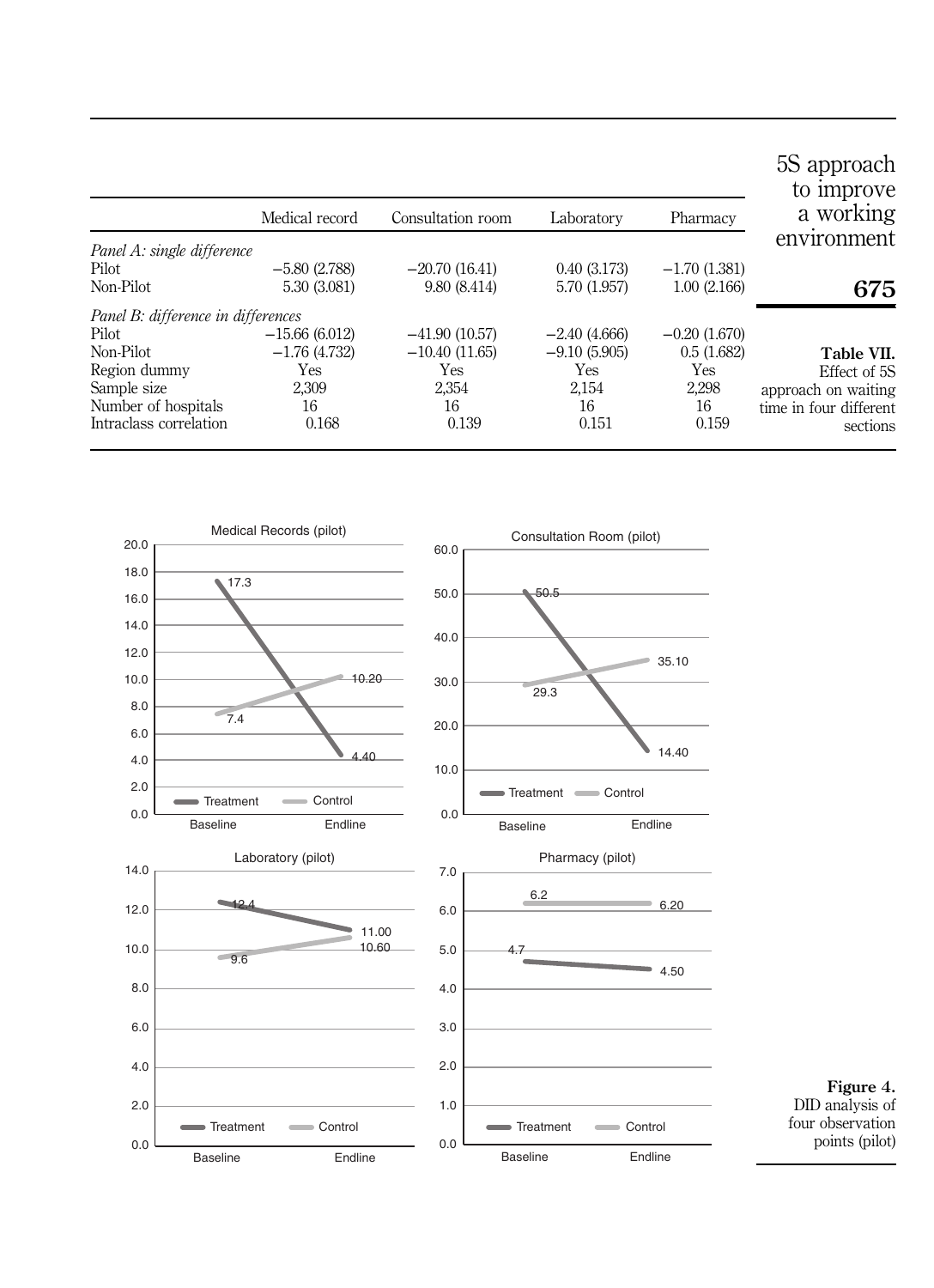|                                    | Medical record  | Consultation room | Laboratory     | Pharmacy       | 5S approach<br>to improve<br>a working |
|------------------------------------|-----------------|-------------------|----------------|----------------|----------------------------------------|
| Panel A: single difference         |                 |                   |                |                | environment                            |
| Pilot                              | $-5.80(2.788)$  | $-20.70(16.41)$   | 0.40(3.173)    | $-1.70(1.381)$ |                                        |
| Non-Pilot                          | 5.30 (3.081)    | 9.80 (8.414)      | 5.70 (1.957)   | 1.00(2.166)    | 675                                    |
| Panel B: difference in differences |                 |                   |                |                |                                        |
| Pilot                              | $-15.66(6.012)$ | $-41.90(10.57)$   | $-2.40(4.666)$ | $-0.20(1.670)$ |                                        |
| Non-Pilot                          | $-1.76(4.732)$  | $-10.40(11.65)$   | $-9.10(5.905)$ | 0.5(1.682)     | Table VII.                             |
| Region dummy                       | Yes             | Yes               | Yes            | Yes            | Effect of 5S                           |
| Sample size                        | 2,309           | 2,354             | 2,154          | 2,298          | approach on waiting                    |
| Number of hospitals                | 16              | 16                | 16             | 16             | time in four different                 |
| Intraclass correlation             | 0.168           | 0.139             | 0.151          | 0.159          | sections                               |

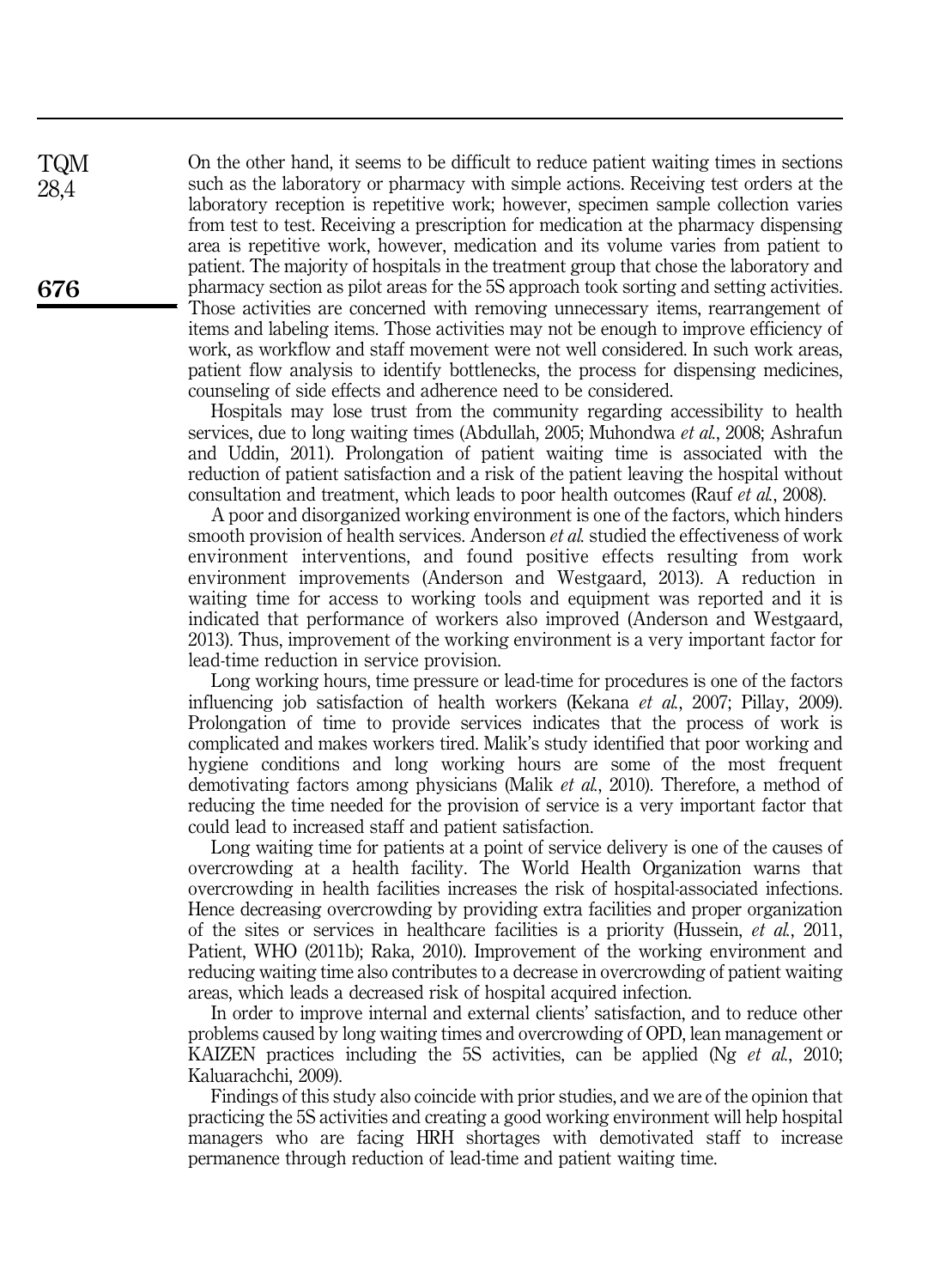On the other hand, it seems to be difficult to reduce patient waiting times in sections such as the laboratory or pharmacy with simple actions. Receiving test orders at the laboratory reception is repetitive work; however, specimen sample collection varies from test to test. Receiving a prescription for medication at the pharmacy dispensing area is repetitive work, however, medication and its volume varies from patient to patient. The majority of hospitals in the treatment group that chose the laboratory and pharmacy section as pilot areas for the 5S approach took sorting and setting activities. Those activities are concerned with removing unnecessary items, rearrangement of items and labeling items. Those activities may not be enough to improve efficiency of work, as workflow and staff movement were not well considered. In such work areas, patient flow analysis to identify bottlenecks, the process for dispensing medicines, counseling of side effects and adherence need to be considered.

Hospitals may lose trust from the community regarding accessibility to health services, due to long waiting times (Abdullah, 2005; Muhondwa et al., 2008; Ashrafun and Uddin, 2011). Prolongation of patient waiting time is associated with the reduction of patient satisfaction and a risk of the patient leaving the hospital without consultation and treatment, which leads to poor health outcomes (Rauf et al., 2008).

A poor and disorganized working environment is one of the factors, which hinders smooth provision of health services. Anderson *et al.* studied the effectiveness of work environment interventions, and found positive effects resulting from work environment improvements (Anderson and Westgaard, 2013). A reduction in waiting time for access to working tools and equipment was reported and it is indicated that performance of workers also improved (Anderson and Westgaard, 2013). Thus, improvement of the working environment is a very important factor for lead-time reduction in service provision.

Long working hours, time pressure or lead-time for procedures is one of the factors influencing job satisfaction of health workers (Kekana et al., 2007; Pillay, 2009). Prolongation of time to provide services indicates that the process of work is complicated and makes workers tired. Malik's study identified that poor working and hygiene conditions and long working hours are some of the most frequent demotivating factors among physicians (Malik et al., 2010). Therefore, a method of reducing the time needed for the provision of service is a very important factor that could lead to increased staff and patient satisfaction.

Long waiting time for patients at a point of service delivery is one of the causes of overcrowding at a health facility. The World Health Organization warns that overcrowding in health facilities increases the risk of hospital-associated infections. Hence decreasing overcrowding by providing extra facilities and proper organization of the sites or services in healthcare facilities is a priority (Hussein, et al., 2011, Patient, WHO (2011b); Raka, 2010). Improvement of the working environment and reducing waiting time also contributes to a decrease in overcrowding of patient waiting areas, which leads a decreased risk of hospital acquired infection.

In order to improve internal and external clients' satisfaction, and to reduce other problems caused by long waiting times and overcrowding of OPD, lean management or KAIZEN practices including the 5S activities, can be applied (Ng *et al.*, 2010; Kaluarachchi, 2009).

Findings of this study also coincide with prior studies, and we are of the opinion that practicing the 5S activities and creating a good working environment will help hospital managers who are facing HRH shortages with demotivated staff to increase permanence through reduction of lead-time and patient waiting time.

676

TQM 28,4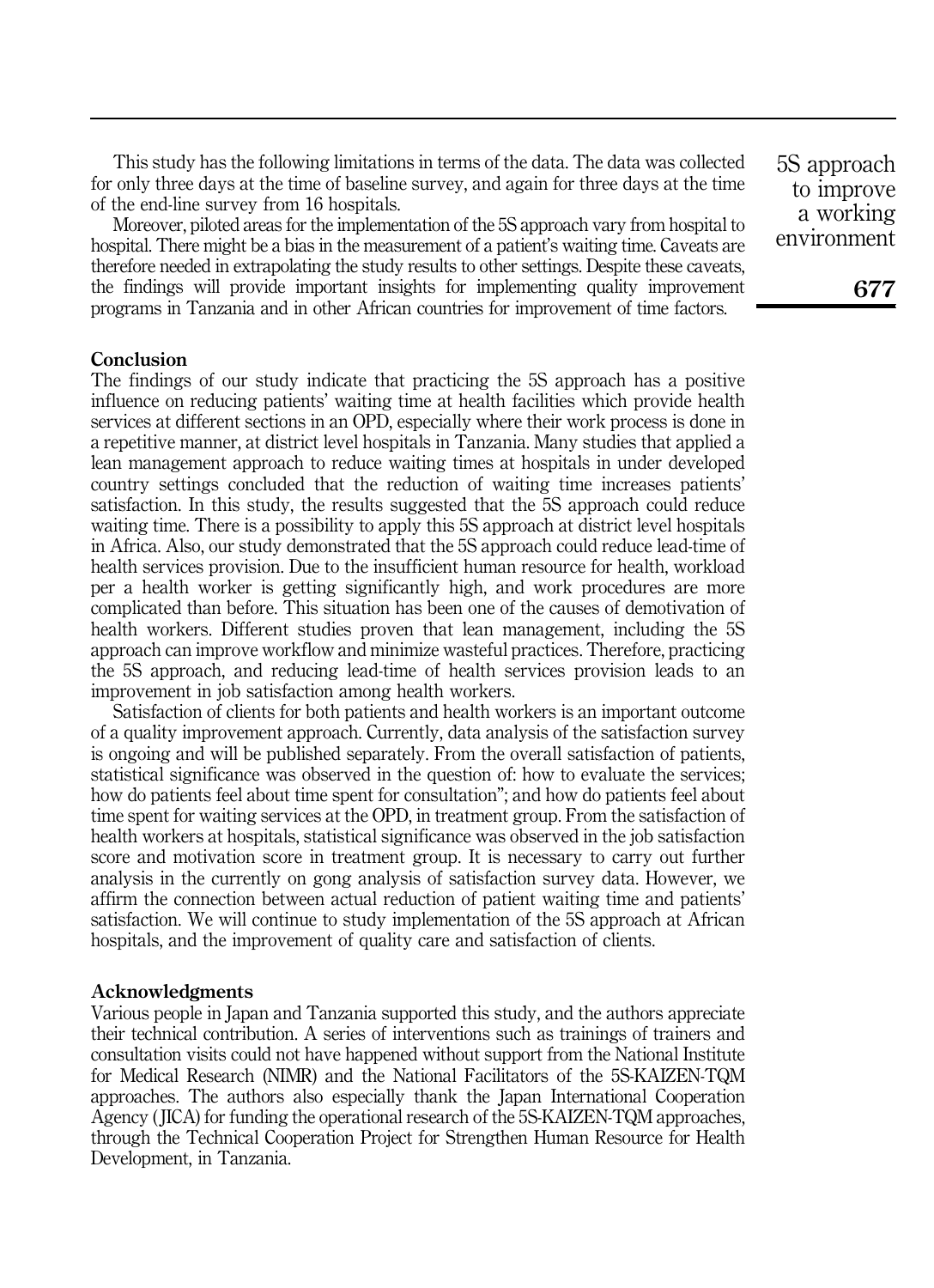This study has the following limitations in terms of the data. The data was collected for only three days at the time of baseline survey, and again for three days at the time of the end-line survey from 16 hospitals.

Moreover, piloted areas for the implementation of the 5S approach vary from hospital to hospital. There might be a bias in the measurement of a patient's waiting time. Caveats are therefore needed in extrapolating the study results to other settings. Despite these caveats, the findings will provide important insights for implementing quality improvement programs in Tanzania and in other African countries for improvement of time factors.

#### Conclusion

The findings of our study indicate that practicing the 5S approach has a positive influence on reducing patients' waiting time at health facilities which provide health services at different sections in an OPD, especially where their work process is done in a repetitive manner, at district level hospitals in Tanzania. Many studies that applied a lean management approach to reduce waiting times at hospitals in under developed country settings concluded that the reduction of waiting time increases patients' satisfaction. In this study, the results suggested that the 5S approach could reduce waiting time. There is a possibility to apply this 5S approach at district level hospitals in Africa. Also, our study demonstrated that the 5S approach could reduce lead-time of health services provision. Due to the insufficient human resource for health, workload per a health worker is getting significantly high, and work procedures are more complicated than before. This situation has been one of the causes of demotivation of health workers. Different studies proven that lean management, including the 5S approach can improve workflow and minimize wasteful practices. Therefore, practicing the 5S approach, and reducing lead-time of health services provision leads to an improvement in job satisfaction among health workers.

Satisfaction of clients for both patients and health workers is an important outcome of a quality improvement approach. Currently, data analysis of the satisfaction survey is ongoing and will be published separately. From the overall satisfaction of patients, statistical significance was observed in the question of: how to evaluate the services; how do patients feel about time spent for consultation"; and how do patients feel about time spent for waiting services at the OPD, in treatment group. From the satisfaction of health workers at hospitals, statistical significance was observed in the job satisfaction score and motivation score in treatment group. It is necessary to carry out further analysis in the currently on gong analysis of satisfaction survey data. However, we affirm the connection between actual reduction of patient waiting time and patients' satisfaction. We will continue to study implementation of the 5S approach at African hospitals, and the improvement of quality care and satisfaction of clients.

#### Acknowledgments

Various people in Japan and Tanzania supported this study, and the authors appreciate their technical contribution. A series of interventions such as trainings of trainers and consultation visits could not have happened without support from the National Institute for Medical Research (NIMR) and the National Facilitators of the 5S-KAIZEN-TQM approaches. The authors also especially thank the Japan International Cooperation Agency ( JICA) for funding the operational research of the 5S-KAIZEN-TQM approaches, through the Technical Cooperation Project for Strengthen Human Resource for Health Development, in Tanzania.

5S approach to improve a working environment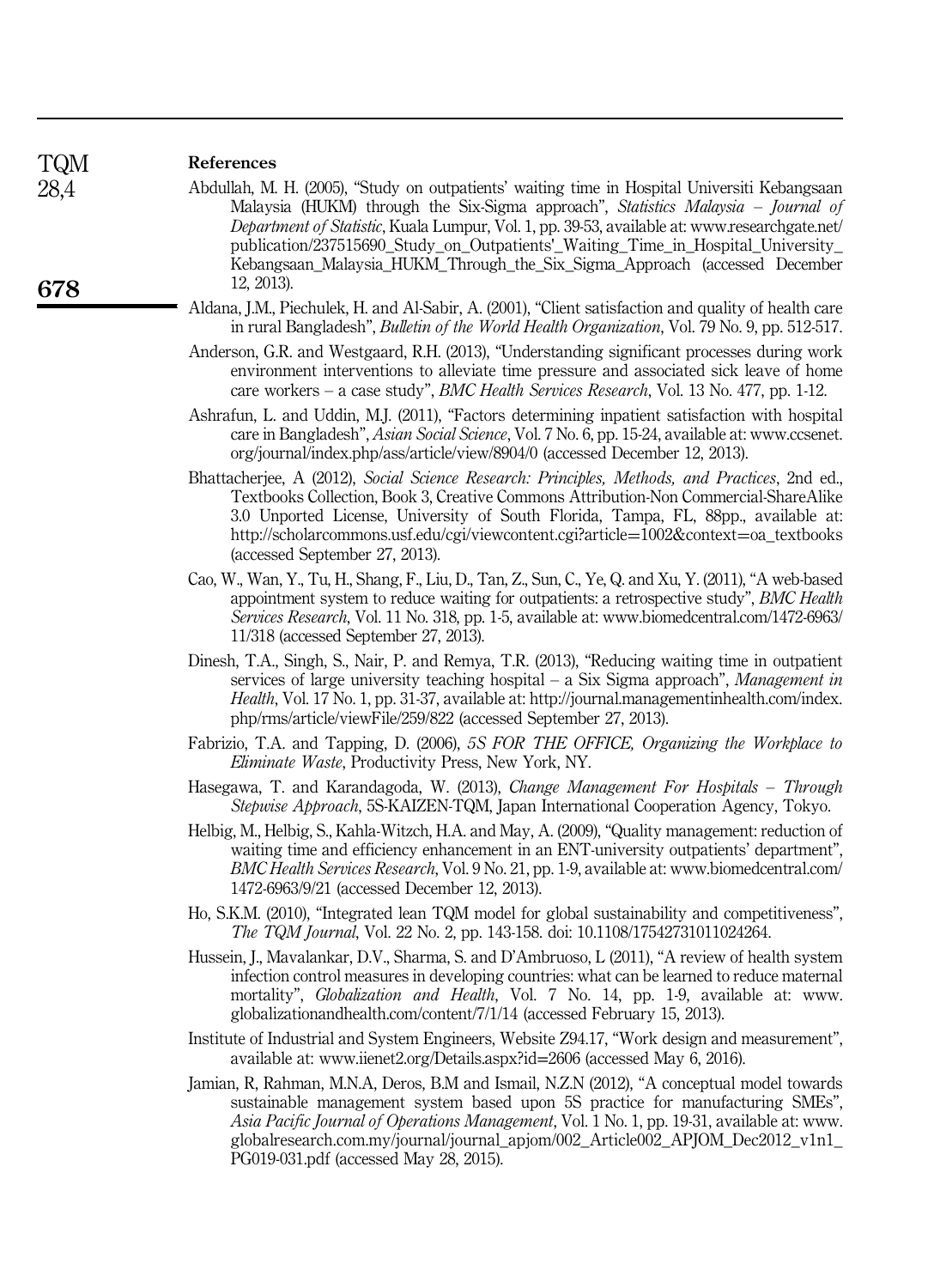#### References TQM

- Abdullah, M. H. (2005), "Study on outpatients' waiting time in Hospital Universiti Kebangsaan Malaysia (HUKM) through the Six-Sigma approach", Statistics Malaysia - Journal of Department of Statistic, Kuala Lumpur, Vol. 1, pp. 39-53, available at: [www.researchgate.net/](www.researchgate.net/publication/237515690_Study_on_Outpatients) [publication/237515690\\_Study\\_on\\_Outpatients'\\_Waiting\\_Time\\_in\\_Hospital\\_University\\_](www.researchgate.net/publication/237515690_Study_on_Outpatients) [Kebangsaan\\_Malaysia\\_HUKM\\_Through\\_the\\_Six\\_Sigma\\_Approach](www.researchgate.net/publication/237515690_Study_on_Outpatients) (accessed December 12, 2013).
	- Aldana, J.M., Piechulek, H. and Al-Sabir, A. (2001), "Client satisfaction and quality of health care in rural Bangladesh", Bulletin of the World Health Organization, Vol. 79 No. 9, pp. 512-517.
	- Anderson, G.R. and Westgaard, R.H. (2013), "Understanding significant processes during work environment interventions to alleviate time pressure and associated sick leave of home care workers – a case study", BMC Health Services Research, Vol. 13 No. 477, pp. 1-12.
	- Ashrafun, L. and Uddin, M.J. (2011), "Factors determining inpatient satisfaction with hospital care in Bangladesh", Asian Social Science, Vol. 7 No. 6, pp. 15-24, available at: [www.ccsenet.](www.ccsenet.org/journal/index.php/ass/article/view/8904/0) [org/journal/index.php/ass/article/view/8904/0](www.ccsenet.org/journal/index.php/ass/article/view/8904/0) (accessed December 12, 2013).
	- Bhattacherjee, A (2012), Social Science Research: Principles, Methods, and Practices, 2nd ed., Textbooks Collection, Book 3, Creative Commons Attribution-Non Commercial-ShareAlike 3.0 Unported License, University of South Florida, Tampa, FL, 88pp., available at: [http://scholarcommons.usf.edu/cgi/viewcontent.cgi?article](http://scholarcommons.usf.edu/cgi/viewcontent.cgi?article�=�1002&context�=�oa_textbooks)=[1002&context](http://scholarcommons.usf.edu/cgi/viewcontent.cgi?article�=�1002&context�=�oa_textbooks)=[oa\\_textbooks](http://scholarcommons.usf.edu/cgi/viewcontent.cgi?article�=�1002&context�=�oa_textbooks) (accessed September 27, 2013).
	- Cao, W., Wan, Y., Tu, H., Shang, F., Liu, D., Tan, Z., Sun, C., Ye, Q. and Xu, Y. (2011), "A web-based appointment system to reduce waiting for outpatients: a retrospective study", BMC Health Services Research, Vol. 11 No. 318, pp. 1-5, available at: [www.biomedcentral.com/1472-6963/](www.biomedcentral.com/1472-6963/11/318) [11/318](www.biomedcentral.com/1472-6963/11/318) (accessed September 27, 2013).
	- Dinesh, T.A., Singh, S., Nair, P. and Remya, T.R. (2013), "Reducing waiting time in outpatient services of large university teaching hospital – a Six Sigma approach", *Management in* Health, Vol. 17 No. 1, pp. 31-37, available at: [http://journal.managementinhealth.com/index.](http://journal.managementinhealth.com/index.php/rms/article/viewFile/259/822) [php/rms/article/viewFile/259/822](http://journal.managementinhealth.com/index.php/rms/article/viewFile/259/822) (accessed September 27, 2013).
	- Fabrizio, T.A. and Tapping, D. (2006), 5S FOR THE OFFICE, Organizing the Workplace to Eliminate Waste, Productivity Press, New York, NY.
	- Hasegawa, T. and Karandagoda, W. (2013), Change Management For Hospitals Through Stepwise Approach, 5S-KAIZEN-TQM, Japan International Cooperation Agency, Tokyo.
	- Helbig, M., Helbig, S., Kahla-Witzch, H.A. and May, A. (2009), "Quality management: reduction of waiting time and efficiency enhancement in an ENT-university outpatients' department", BMC Health Services Research, Vol. 9 No. 21, pp. 1-9, available at: [www.biomedcentral.com/](www.biomedcentral.com/1472-6963/9/21) [1472-6963/9/21](www.biomedcentral.com/1472-6963/9/21) (accessed December 12, 2013).
	- Ho, S.K.M. (2010), "Integrated lean TQM model for global sustainability and competitiveness", The TQM Journal, Vol. 22 No. 2, pp. 143-158. doi: 10.1108/17542731011024264.
	- Hussein, J., Mavalankar, D.V., Sharma, S. and D'Ambruoso, L (2011), "A review of health system infection control measures in developing countries: what can be learned to reduce maternal mortality", Globalization and Health, Vol. 7 No. 14, pp. 1-9, available at: [www.](www.globalizationandhealth.com/content/7/1/14) [globalizationandhealth.com/content/7/1/14](www.globalizationandhealth.com/content/7/1/14) (accessed February 15, 2013).
	- Institute of Industrial and System Engineers, Website Z94.17, "Work design and measurement", available at: [www.iienet2.org/Details.aspx?id](www.iienet2.org/Details.aspx?id=2606)=2606 (accessed May 6, 2016).
	- Jamian, R, Rahman, M.N.A, Deros, B.M and Ismail, N.Z.N (2012), "A conceptual model towards sustainable management system based upon 5S practice for manufacturing SMEs", Asia Pacific Journal of Operations Management, Vol. 1 No. 1, pp. 19-31, available at: [www.](www.globalresearch.com.my/journal/journal_apjom/002_Article002_APJOM_Dec2012_v1n1_PG019-031.pdf) [globalresearch.com.my/journal/journal\\_apjom/002\\_Article002\\_APJOM\\_Dec2012\\_v1n1\\_](www.globalresearch.com.my/journal/journal_apjom/002_Article002_APJOM_Dec2012_v1n1_PG019-031.pdf) [PG019-031.pdf](www.globalresearch.com.my/journal/journal_apjom/002_Article002_APJOM_Dec2012_v1n1_PG019-031.pdf) (accessed May 28, 2015).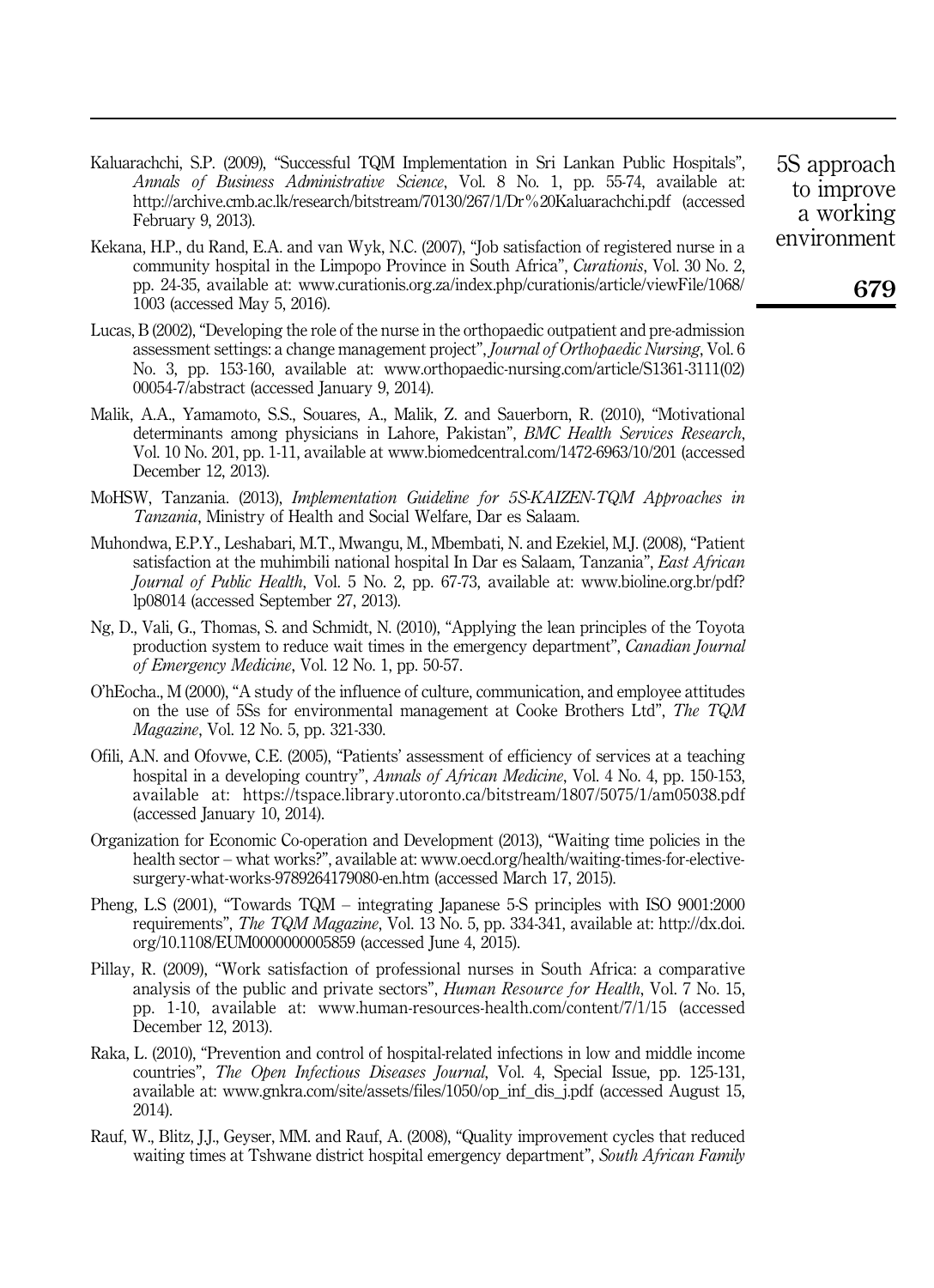- Kaluarachchi, S.P. (2009), "Successful TQM Implementation in Sri Lankan Public Hospitals", Annals of Business Administrative Science, Vol. 8 No. 1, pp. 55-74, available at: <http://archive.cmb.ac.lk/research/bitstream/70130/267/1/Dr%20Kaluarachchi.pdf> (accessed February 9, 2013).
- Kekana, H.P., du Rand, E.A. and van Wyk, N.C. (2007), "Job satisfaction of registered nurse in a community hospital in the Limpopo Province in South Africa", Curationis, Vol. 30 No. 2, pp. 24-35, available at: [www.curationis.org.za/index.php/curationis/article/viewFile/1068/](www.curationis.org.za/index.php/curationis/article/viewFile/1068/1003) [1003](www.curationis.org.za/index.php/curationis/article/viewFile/1068/1003) (accessed May 5, 2016).
- Lucas, B (2002), "Developing the role of the nurse in the orthopaedic outpatient and pre-admission assessment settings: a change management project", Journal of Orthopaedic Nursing, Vol. 6 No. 3, pp. 153-160, available at: [www.orthopaedic-nursing.com/article/S1361-3111\(02\)](www.orthopaedic-nursing.com/article/S1361-3111(02)00054-7/abstract) [00054-7/abstract](www.orthopaedic-nursing.com/article/S1361-3111(02)00054-7/abstract) (accessed January 9, 2014).
- Malik, A.A., Yamamoto, S.S., Souares, A., Malik, Z. and Sauerborn, R. (2010), "Motivational determinants among physicians in Lahore, Pakistan", BMC Health Services Research, Vol. 10 No. 201, pp. 1-11, available at<www.biomedcentral.com/1472-6963/10/201> (accessed December 12, 2013).
- MoHSW, Tanzania. (2013), Implementation Guideline for 5S-KAIZEN-TQM Approaches in Tanzania, Ministry of Health and Social Welfare, Dar es Salaam.
- Muhondwa, E.P.Y., Leshabari, M.T., Mwangu, M., Mbembati, N. and Ezekiel, M.J. (2008), "Patient satisfaction at the muhimbili national hospital In Dar es Salaam, Tanzania", East African Journal of Public Health, Vol. 5 No. 2, pp. 67-73, available at: [www.bioline.org.br/pdf?](www.bioline.org.br/pdf?lp08014) [lp08014](www.bioline.org.br/pdf?lp08014) (accessed September 27, 2013).
- Ng, D., Vali, G., Thomas, S. and Schmidt, N. (2010), "Applying the lean principles of the Toyota production system to reduce wait times in the emergency department", Canadian Journal of Emergency Medicine, Vol. 12 No. 1, pp. 50-57.
- O'hEocha., M (2000), "A study of the influence of culture, communication, and employee attitudes on the use of 5Ss for environmental management at Cooke Brothers Ltd", The TQM Magazine, Vol. 12 No. 5, pp. 321-330.
- Ofili, A.N. and Ofovwe, C.E. (2005), "Patients' assessment of efficiency of services at a teaching hospital in a developing country", Annals of African Medicine, Vol. 4 No. 4, pp. 150-153, available at:<https://tspace.library.utoronto.ca/bitstream/1807/5075/1/am05038.pdf> (accessed January 10, 2014).
- Organization for Economic Co-operation and Development (2013), "Waiting time policies in the health sector – what works?", available at: [www.oecd.org/health/waiting-times-for-elective](www.oecd.org/health/waiting-times-for-elective-surgery-what-works-9789264179080-en.htm)[surgery-what-works-9789264179080-en.htm](www.oecd.org/health/waiting-times-for-elective-surgery-what-works-9789264179080-en.htm) (accessed March 17, 2015).
- Pheng, L.S (2001), "Towards TQM integrating Japanese 5-S principles with ISO 9001:2000 requirements", The TQM Magazine, Vol. 13 No. 5, pp. 334-341, available at: [http://dx.doi.](http://dx.doi.org/10.1108/EUM0000000005859) [org/10.1108/EUM0000000005859](http://dx.doi.org/10.1108/EUM0000000005859) (accessed June 4, 2015).
- Pillay, R. (2009), "Work satisfaction of professional nurses in South Africa: a comparative analysis of the public and private sectors", *Human Resource for Health*, Vol. 7 No. 15, pp. 1-10, available at:<www.human-resources-health.com/content/7/1/15> (accessed December 12, 2013).
- Raka, L. (2010), "Prevention and control of hospital-related infections in low and middle income countries", The Open Infectious Diseases Journal, Vol. 4, Special Issue, pp. 125-131, available at: [www.gnkra.com/site/assets/files/1050/op\\_inf\\_dis\\_j.pdf](www.gnkra.com/site/assets/files/1050/op_inf_dis_j.pdf) (accessed August 15, 2014).
- Rauf, W., Blitz, J.J., Geyser, MM. and Rauf, A. (2008), "Quality improvement cycles that reduced waiting times at Tshwane district hospital emergency department", South African Family

5S approach to improve a working environment